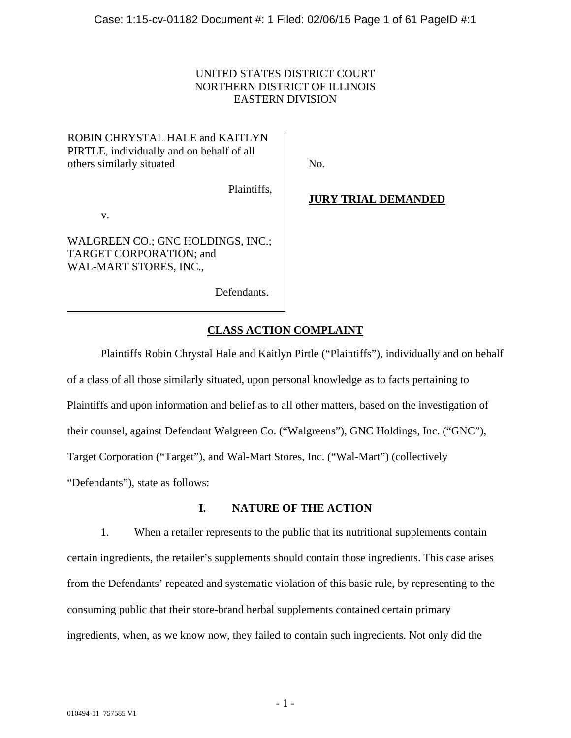# UNITED STATES DISTRICT COURT NORTHERN DISTRICT OF ILLINOIS EASTERN DIVISION

 $\overline{\phantom{a}}$ 

# ROBIN CHRYSTAL HALE and KAITLYN PIRTLE, individually and on behalf of all others similarly situated

No.

Plaintiffs,

v.

WALGREEN CO.; GNC HOLDINGS, INC.; TARGET CORPORATION; and WAL-MART STORES, INC.,

Defendants.

# **JURY TRIAL DEMANDED**

# **CLASS ACTION COMPLAINT**

Plaintiffs Robin Chrystal Hale and Kaitlyn Pirtle ("Plaintiffs"), individually and on behalf of a class of all those similarly situated, upon personal knowledge as to facts pertaining to Plaintiffs and upon information and belief as to all other matters, based on the investigation of their counsel, against Defendant Walgreen Co. ("Walgreens"), GNC Holdings, Inc. ("GNC"), Target Corporation ("Target"), and Wal-Mart Stores, Inc. ("Wal-Mart") (collectively "Defendants"), state as follows:

# **I. NATURE OF THE ACTION**

1. When a retailer represents to the public that its nutritional supplements contain certain ingredients, the retailer's supplements should contain those ingredients. This case arises from the Defendants' repeated and systematic violation of this basic rule, by representing to the consuming public that their store-brand herbal supplements contained certain primary ingredients, when, as we know now, they failed to contain such ingredients. Not only did the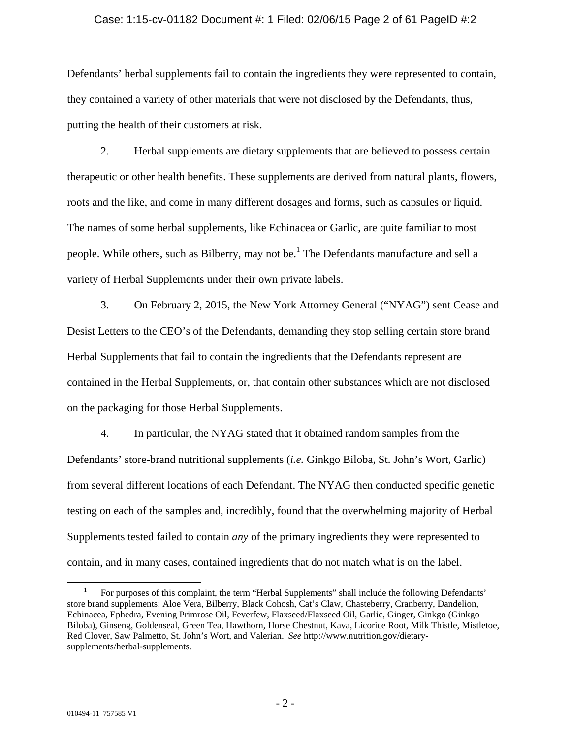### Case: 1:15-cv-01182 Document #: 1 Filed: 02/06/15 Page 2 of 61 PageID #:2

Defendants' herbal supplements fail to contain the ingredients they were represented to contain, they contained a variety of other materials that were not disclosed by the Defendants, thus, putting the health of their customers at risk.

2. Herbal supplements are dietary supplements that are believed to possess certain therapeutic or other health benefits. These supplements are derived from natural plants, flowers, roots and the like, and come in many different dosages and forms, such as capsules or liquid. The names of some herbal supplements, like Echinacea or Garlic, are quite familiar to most people. While others, such as Bilberry, may not be.<sup>1</sup> The Defendants manufacture and sell a variety of Herbal Supplements under their own private labels.

3. On February 2, 2015, the New York Attorney General ("NYAG") sent Cease and Desist Letters to the CEO's of the Defendants, demanding they stop selling certain store brand Herbal Supplements that fail to contain the ingredients that the Defendants represent are contained in the Herbal Supplements, or, that contain other substances which are not disclosed on the packaging for those Herbal Supplements.

4. In particular, the NYAG stated that it obtained random samples from the Defendants' store-brand nutritional supplements (*i.e.* Ginkgo Biloba, St. John's Wort, Garlic) from several different locations of each Defendant. The NYAG then conducted specific genetic testing on each of the samples and, incredibly, found that the overwhelming majority of Herbal Supplements tested failed to contain *any* of the primary ingredients they were represented to contain, and in many cases, contained ingredients that do not match what is on the label.

 $\frac{1}{1}$  For purposes of this complaint, the term "Herbal Supplements" shall include the following Defendants' store brand supplements: Aloe Vera, Bilberry, Black Cohosh, Cat's Claw, Chasteberry, Cranberry, Dandelion, Echinacea, Ephedra, Evening Primrose Oil, Feverfew, Flaxseed/Flaxseed Oil, Garlic, Ginger, Ginkgo (Ginkgo Biloba), Ginseng, Goldenseal, Green Tea, Hawthorn, Horse Chestnut, Kava, Licorice Root, Milk Thistle, Mistletoe, Red Clover, Saw Palmetto, St. John's Wort, and Valerian. *See* http://www.nutrition.gov/dietarysupplements/herbal-supplements.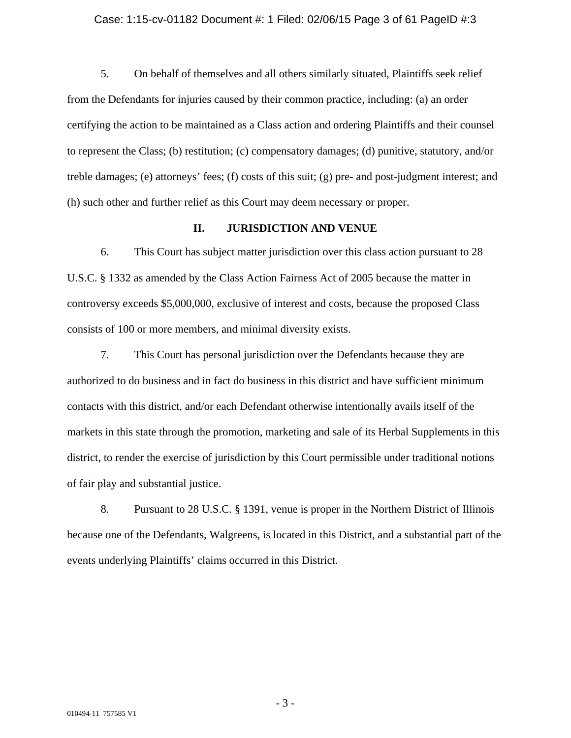### Case: 1:15-cv-01182 Document #: 1 Filed: 02/06/15 Page 3 of 61 PageID #:3

5. On behalf of themselves and all others similarly situated, Plaintiffs seek relief from the Defendants for injuries caused by their common practice, including: (a) an order certifying the action to be maintained as a Class action and ordering Plaintiffs and their counsel to represent the Class; (b) restitution; (c) compensatory damages; (d) punitive, statutory, and/or treble damages; (e) attorneys' fees; (f) costs of this suit; (g) pre- and post-judgment interest; and (h) such other and further relief as this Court may deem necessary or proper.

# **II. JURISDICTION AND VENUE**

6. This Court has subject matter jurisdiction over this class action pursuant to 28 U.S.C. § 1332 as amended by the Class Action Fairness Act of 2005 because the matter in controversy exceeds \$5,000,000, exclusive of interest and costs, because the proposed Class consists of 100 or more members, and minimal diversity exists.

7. This Court has personal jurisdiction over the Defendants because they are authorized to do business and in fact do business in this district and have sufficient minimum contacts with this district, and/or each Defendant otherwise intentionally avails itself of the markets in this state through the promotion, marketing and sale of its Herbal Supplements in this district, to render the exercise of jurisdiction by this Court permissible under traditional notions of fair play and substantial justice.

8. Pursuant to 28 U.S.C. § 1391, venue is proper in the Northern District of Illinois because one of the Defendants, Walgreens, is located in this District, and a substantial part of the events underlying Plaintiffs' claims occurred in this District.

- 3 -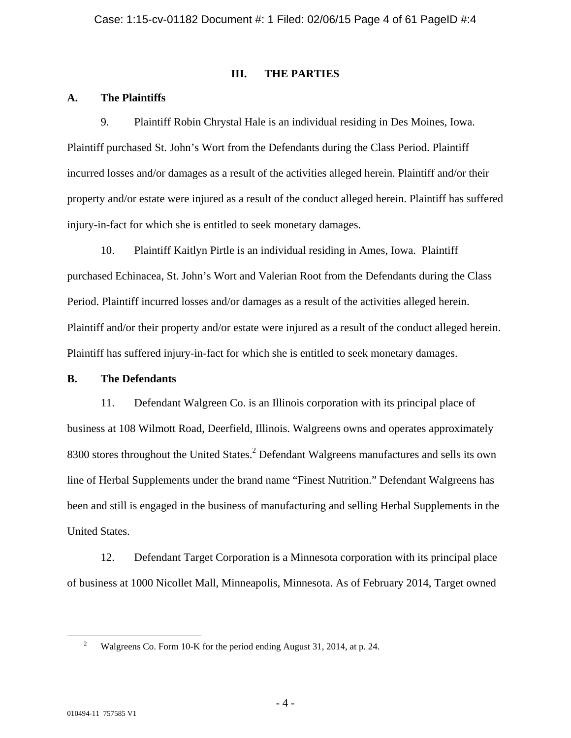### **III. THE PARTIES**

### **A. The Plaintiffs**

9. Plaintiff Robin Chrystal Hale is an individual residing in Des Moines, Iowa. Plaintiff purchased St. John's Wort from the Defendants during the Class Period. Plaintiff incurred losses and/or damages as a result of the activities alleged herein. Plaintiff and/or their property and/or estate were injured as a result of the conduct alleged herein. Plaintiff has suffered injury-in-fact for which she is entitled to seek monetary damages.

10. Plaintiff Kaitlyn Pirtle is an individual residing in Ames, Iowa. Plaintiff purchased Echinacea, St. John's Wort and Valerian Root from the Defendants during the Class Period. Plaintiff incurred losses and/or damages as a result of the activities alleged herein. Plaintiff and/or their property and/or estate were injured as a result of the conduct alleged herein. Plaintiff has suffered injury-in-fact for which she is entitled to seek monetary damages.

### **B. The Defendants**

11. Defendant Walgreen Co. is an Illinois corporation with its principal place of business at 108 Wilmott Road, Deerfield, Illinois. Walgreens owns and operates approximately 8300 stores throughout the United States. $2$  Defendant Walgreens manufactures and sells its own line of Herbal Supplements under the brand name "Finest Nutrition." Defendant Walgreens has been and still is engaged in the business of manufacturing and selling Herbal Supplements in the United States.

12. Defendant Target Corporation is a Minnesota corporation with its principal place of business at 1000 Nicollet Mall, Minneapolis, Minnesota. As of February 2014, Target owned

 <sup>2</sup> Walgreens Co. Form 10-K for the period ending August 31, 2014, at p. 24.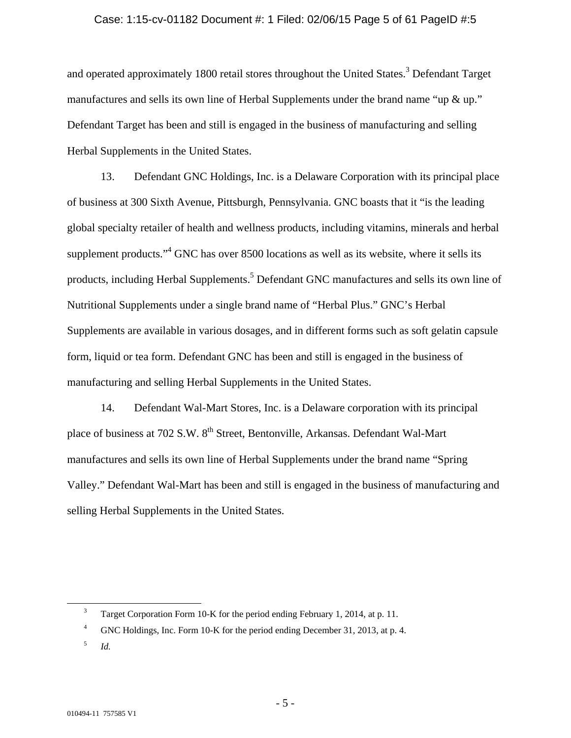### Case: 1:15-cv-01182 Document #: 1 Filed: 02/06/15 Page 5 of 61 PageID #:5

and operated approximately 1800 retail stores throughout the United States.<sup>3</sup> Defendant Target manufactures and sells its own line of Herbal Supplements under the brand name "up & up." Defendant Target has been and still is engaged in the business of manufacturing and selling Herbal Supplements in the United States.

13. Defendant GNC Holdings, Inc. is a Delaware Corporation with its principal place of business at 300 Sixth Avenue, Pittsburgh, Pennsylvania. GNC boasts that it "is the leading global specialty retailer of health and wellness products, including vitamins, minerals and herbal supplement products."<sup>4</sup> GNC has over 8500 locations as well as its website, where it sells its products, including Herbal Supplements.<sup>5</sup> Defendant GNC manufactures and sells its own line of Nutritional Supplements under a single brand name of "Herbal Plus." GNC's Herbal Supplements are available in various dosages, and in different forms such as soft gelatin capsule form, liquid or tea form. Defendant GNC has been and still is engaged in the business of manufacturing and selling Herbal Supplements in the United States.

14. Defendant Wal-Mart Stores, Inc. is a Delaware corporation with its principal place of business at 702 S.W. 8<sup>th</sup> Street, Bentonville, Arkansas. Defendant Wal-Mart manufactures and sells its own line of Herbal Supplements under the brand name "Spring Valley." Defendant Wal-Mart has been and still is engaged in the business of manufacturing and selling Herbal Supplements in the United States.

 $\frac{1}{3}$ <sup>3</sup> Target Corporation Form 10-K for the period ending February 1, 2014, at p. 11.

<sup>4</sup> GNC Holdings, Inc. Form 10-K for the period ending December 31, 2013, at p. 4.

<sup>5</sup> *Id.*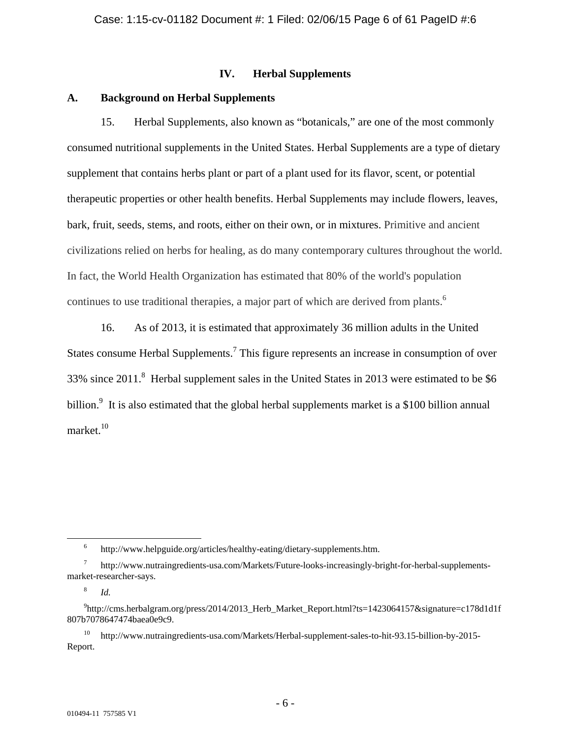### **IV. Herbal Supplements**

# **A. Background on Herbal Supplements**

15. Herbal Supplements, also known as "botanicals," are one of the most commonly consumed nutritional supplements in the United States. Herbal Supplements are a type of dietary supplement that contains herbs plant or part of a plant used for its flavor, scent, or potential therapeutic properties or other health benefits. Herbal Supplements may include flowers, leaves, bark, fruit, seeds, stems, and roots, either on their own, or in mixtures. Primitive and ancient civilizations relied on herbs for healing, as do many contemporary cultures throughout the world. In fact, the World Health Organization has estimated that 80% of the world's population continues to use traditional therapies, a major part of which are derived from plants. $<sup>6</sup>$ </sup>

16. As of 2013, it is estimated that approximately 36 million adults in the United States consume Herbal Supplements.<sup>7</sup> This figure represents an increase in consumption of over 33% since 2011.<sup>8</sup> Herbal supplement sales in the United States in 2013 were estimated to be \$6 billion.<sup>9</sup> It is also estimated that the global herbal supplements market is a \$100 billion annual market.<sup>10</sup>

10 http://www.nutraingredients-usa.com/Markets/Herbal-supplement-sales-to-hit-93.15-billion-by-2015- Report.

 <sup>6</sup> http://www.helpguide.org/articles/healthy-eating/dietary-supplements.htm.

<sup>7</sup> http://www.nutraingredients-usa.com/Markets/Future-looks-increasingly-bright-for-herbal-supplementsmarket-researcher-says.

<sup>8</sup> *Id.*

<sup>9</sup> http://cms.herbalgram.org/press/2014/2013\_Herb\_Market\_Report.html?ts=1423064157&signature=c178d1d1f 807b7078647474baea0e9c9.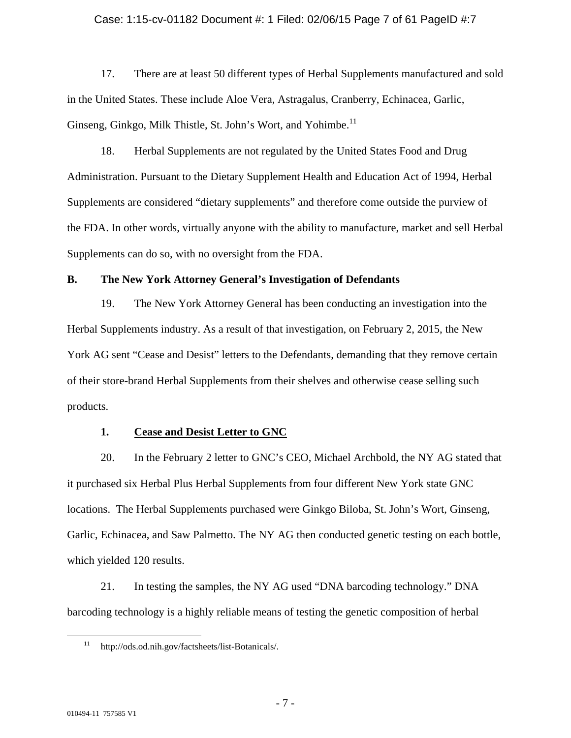### Case: 1:15-cv-01182 Document #: 1 Filed: 02/06/15 Page 7 of 61 PageID #:7

17. There are at least 50 different types of Herbal Supplements manufactured and sold in the United States. These include Aloe Vera, Astragalus, Cranberry, Echinacea, Garlic, Ginseng, Ginkgo, Milk Thistle, St. John's Wort, and Yohimbe.<sup>11</sup>

18. Herbal Supplements are not regulated by the United States Food and Drug Administration. Pursuant to the Dietary Supplement Health and Education Act of 1994, Herbal Supplements are considered "dietary supplements" and therefore come outside the purview of the FDA. In other words, virtually anyone with the ability to manufacture, market and sell Herbal Supplements can do so, with no oversight from the FDA.

### **B. The New York Attorney General's Investigation of Defendants**

19. The New York Attorney General has been conducting an investigation into the Herbal Supplements industry. As a result of that investigation, on February 2, 2015, the New York AG sent "Cease and Desist" letters to the Defendants, demanding that they remove certain of their store-brand Herbal Supplements from their shelves and otherwise cease selling such products.

### **1. Cease and Desist Letter to GNC**

20. In the February 2 letter to GNC's CEO, Michael Archbold, the NY AG stated that it purchased six Herbal Plus Herbal Supplements from four different New York state GNC locations. The Herbal Supplements purchased were Ginkgo Biloba, St. John's Wort, Ginseng, Garlic, Echinacea, and Saw Palmetto. The NY AG then conducted genetic testing on each bottle, which yielded 120 results.

21. In testing the samples, the NY AG used "DNA barcoding technology." DNA barcoding technology is a highly reliable means of testing the genetic composition of herbal

 <sup>11</sup> http://ods.od.nih.gov/factsheets/list-Botanicals/.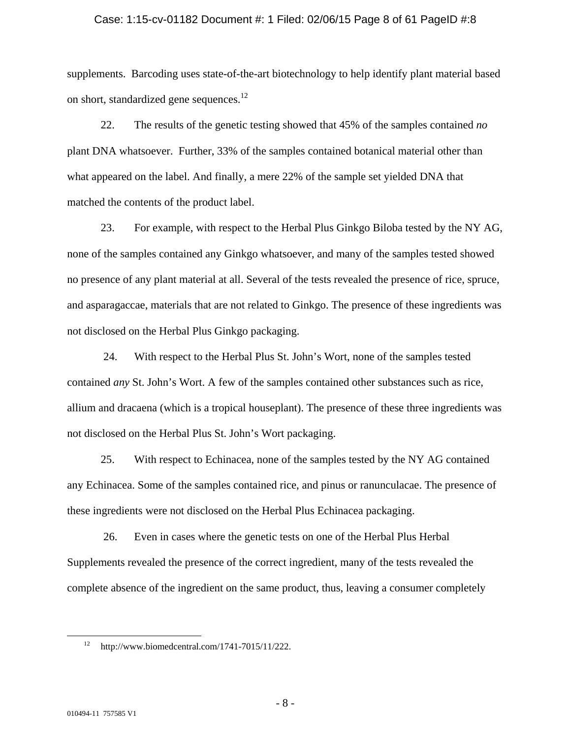### Case: 1:15-cv-01182 Document #: 1 Filed: 02/06/15 Page 8 of 61 PageID #:8

supplements. Barcoding uses state-of-the-art biotechnology to help identify plant material based on short, standardized gene sequences.<sup>12</sup>

22. The results of the genetic testing showed that 45% of the samples contained *no* plant DNA whatsoever. Further, 33% of the samples contained botanical material other than what appeared on the label. And finally, a mere 22% of the sample set yielded DNA that matched the contents of the product label.

23. For example, with respect to the Herbal Plus Ginkgo Biloba tested by the NY AG, none of the samples contained any Ginkgo whatsoever, and many of the samples tested showed no presence of any plant material at all. Several of the tests revealed the presence of rice, spruce, and asparagaccae, materials that are not related to Ginkgo. The presence of these ingredients was not disclosed on the Herbal Plus Ginkgo packaging.

 24. With respect to the Herbal Plus St. John's Wort, none of the samples tested contained *any* St. John's Wort. A few of the samples contained other substances such as rice, allium and dracaena (which is a tropical houseplant). The presence of these three ingredients was not disclosed on the Herbal Plus St. John's Wort packaging.

25. With respect to Echinacea, none of the samples tested by the NY AG contained any Echinacea. Some of the samples contained rice, and pinus or ranunculacae. The presence of these ingredients were not disclosed on the Herbal Plus Echinacea packaging.

 26. Even in cases where the genetic tests on one of the Herbal Plus Herbal Supplements revealed the presence of the correct ingredient, many of the tests revealed the complete absence of the ingredient on the same product, thus, leaving a consumer completely

http://www.biomedcentral.com/1741-7015/11/222.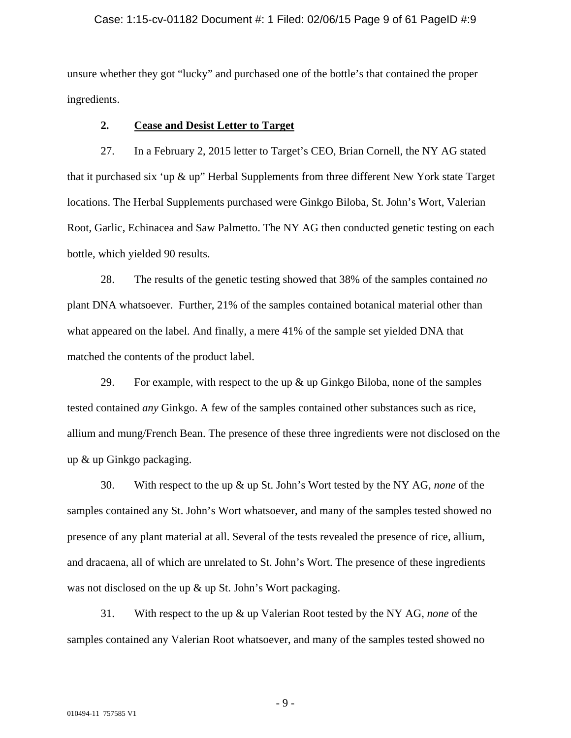### Case: 1:15-cv-01182 Document #: 1 Filed: 02/06/15 Page 9 of 61 PageID #:9

unsure whether they got "lucky" and purchased one of the bottle's that contained the proper ingredients.

# **2. Cease and Desist Letter to Target**

27. In a February 2, 2015 letter to Target's CEO, Brian Cornell, the NY AG stated that it purchased six 'up & up" Herbal Supplements from three different New York state Target locations. The Herbal Supplements purchased were Ginkgo Biloba, St. John's Wort, Valerian Root, Garlic, Echinacea and Saw Palmetto. The NY AG then conducted genetic testing on each bottle, which yielded 90 results.

28. The results of the genetic testing showed that 38% of the samples contained *no* plant DNA whatsoever. Further, 21% of the samples contained botanical material other than what appeared on the label. And finally, a mere 41% of the sample set yielded DNA that matched the contents of the product label.

29. For example, with respect to the up  $\&$  up Ginkgo Biloba, none of the samples tested contained *any* Ginkgo. A few of the samples contained other substances such as rice, allium and mung/French Bean. The presence of these three ingredients were not disclosed on the up & up Ginkgo packaging.

30. With respect to the up & up St. John's Wort tested by the NY AG, *none* of the samples contained any St. John's Wort whatsoever, and many of the samples tested showed no presence of any plant material at all. Several of the tests revealed the presence of rice, allium, and dracaena, all of which are unrelated to St. John's Wort. The presence of these ingredients was not disclosed on the up & up St. John's Wort packaging.

31. With respect to the up & up Valerian Root tested by the NY AG, *none* of the samples contained any Valerian Root whatsoever, and many of the samples tested showed no

- 9 -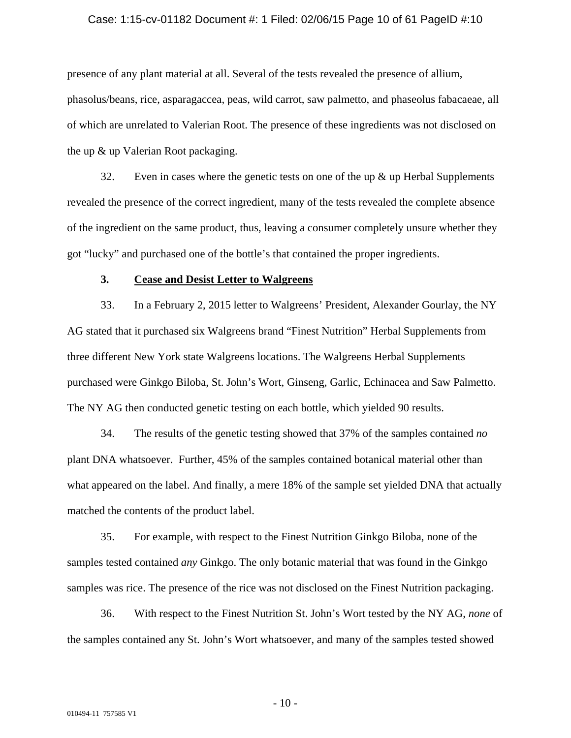#### Case: 1:15-cv-01182 Document #: 1 Filed: 02/06/15 Page 10 of 61 PageID #:10

presence of any plant material at all. Several of the tests revealed the presence of allium, phasolus/beans, rice, asparagaccea, peas, wild carrot, saw palmetto, and phaseolus fabacaeae, all of which are unrelated to Valerian Root. The presence of these ingredients was not disclosed on the up & up Valerian Root packaging.

32. Even in cases where the genetic tests on one of the up  $\&$  up Herbal Supplements revealed the presence of the correct ingredient, many of the tests revealed the complete absence of the ingredient on the same product, thus, leaving a consumer completely unsure whether they got "lucky" and purchased one of the bottle's that contained the proper ingredients.

### **3. Cease and Desist Letter to Walgreens**

33. In a February 2, 2015 letter to Walgreens' President, Alexander Gourlay, the NY AG stated that it purchased six Walgreens brand "Finest Nutrition" Herbal Supplements from three different New York state Walgreens locations. The Walgreens Herbal Supplements purchased were Ginkgo Biloba, St. John's Wort, Ginseng, Garlic, Echinacea and Saw Palmetto. The NY AG then conducted genetic testing on each bottle, which yielded 90 results.

34. The results of the genetic testing showed that 37% of the samples contained *no* plant DNA whatsoever. Further, 45% of the samples contained botanical material other than what appeared on the label. And finally, a mere 18% of the sample set yielded DNA that actually matched the contents of the product label.

35. For example, with respect to the Finest Nutrition Ginkgo Biloba, none of the samples tested contained *any* Ginkgo. The only botanic material that was found in the Ginkgo samples was rice. The presence of the rice was not disclosed on the Finest Nutrition packaging.

36. With respect to the Finest Nutrition St. John's Wort tested by the NY AG, *none* of the samples contained any St. John's Wort whatsoever, and many of the samples tested showed

- 10 -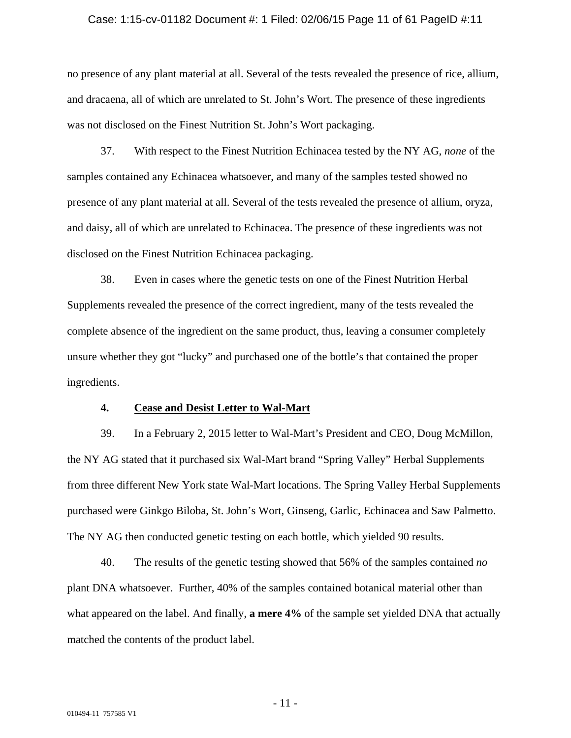#### Case: 1:15-cv-01182 Document #: 1 Filed: 02/06/15 Page 11 of 61 PageID #:11

no presence of any plant material at all. Several of the tests revealed the presence of rice, allium, and dracaena, all of which are unrelated to St. John's Wort. The presence of these ingredients was not disclosed on the Finest Nutrition St. John's Wort packaging.

37. With respect to the Finest Nutrition Echinacea tested by the NY AG, *none* of the samples contained any Echinacea whatsoever, and many of the samples tested showed no presence of any plant material at all. Several of the tests revealed the presence of allium, oryza, and daisy, all of which are unrelated to Echinacea. The presence of these ingredients was not disclosed on the Finest Nutrition Echinacea packaging.

38. Even in cases where the genetic tests on one of the Finest Nutrition Herbal Supplements revealed the presence of the correct ingredient, many of the tests revealed the complete absence of the ingredient on the same product, thus, leaving a consumer completely unsure whether they got "lucky" and purchased one of the bottle's that contained the proper ingredients.

### **4. Cease and Desist Letter to Wal-Mart**

39. In a February 2, 2015 letter to Wal-Mart's President and CEO, Doug McMillon, the NY AG stated that it purchased six Wal-Mart brand "Spring Valley" Herbal Supplements from three different New York state Wal-Mart locations. The Spring Valley Herbal Supplements purchased were Ginkgo Biloba, St. John's Wort, Ginseng, Garlic, Echinacea and Saw Palmetto. The NY AG then conducted genetic testing on each bottle, which yielded 90 results.

40. The results of the genetic testing showed that 56% of the samples contained *no* plant DNA whatsoever. Further, 40% of the samples contained botanical material other than what appeared on the label. And finally, **a mere 4%** of the sample set yielded DNA that actually matched the contents of the product label.

- 11 -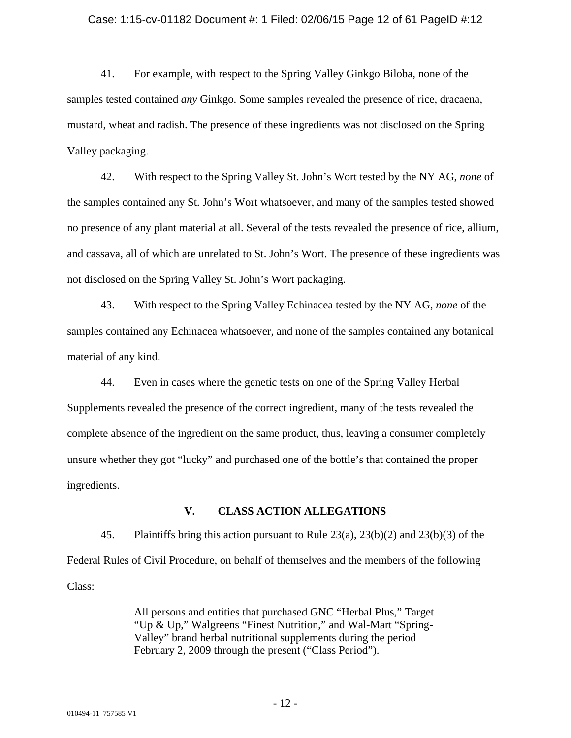#### Case: 1:15-cv-01182 Document #: 1 Filed: 02/06/15 Page 12 of 61 PageID #:12

41. For example, with respect to the Spring Valley Ginkgo Biloba, none of the samples tested contained *any* Ginkgo. Some samples revealed the presence of rice, dracaena, mustard, wheat and radish. The presence of these ingredients was not disclosed on the Spring Valley packaging.

42. With respect to the Spring Valley St. John's Wort tested by the NY AG, *none* of the samples contained any St. John's Wort whatsoever, and many of the samples tested showed no presence of any plant material at all. Several of the tests revealed the presence of rice, allium, and cassava, all of which are unrelated to St. John's Wort. The presence of these ingredients was not disclosed on the Spring Valley St. John's Wort packaging.

43. With respect to the Spring Valley Echinacea tested by the NY AG, *none* of the samples contained any Echinacea whatsoever, and none of the samples contained any botanical material of any kind.

44. Even in cases where the genetic tests on one of the Spring Valley Herbal Supplements revealed the presence of the correct ingredient, many of the tests revealed the complete absence of the ingredient on the same product, thus, leaving a consumer completely unsure whether they got "lucky" and purchased one of the bottle's that contained the proper ingredients.

# **V. CLASS ACTION ALLEGATIONS**

45. Plaintiffs bring this action pursuant to Rule 23(a), 23(b)(2) and 23(b)(3) of the Federal Rules of Civil Procedure, on behalf of themselves and the members of the following Class:

> All persons and entities that purchased GNC "Herbal Plus," Target "Up & Up," Walgreens "Finest Nutrition," and Wal-Mart "Spring-Valley" brand herbal nutritional supplements during the period February 2, 2009 through the present ("Class Period").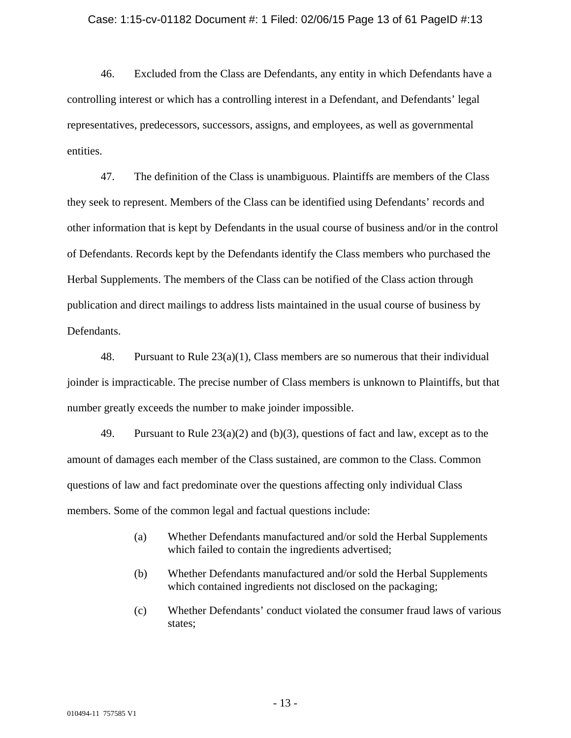### Case: 1:15-cv-01182 Document #: 1 Filed: 02/06/15 Page 13 of 61 PageID #:13

46. Excluded from the Class are Defendants, any entity in which Defendants have a controlling interest or which has a controlling interest in a Defendant, and Defendants' legal representatives, predecessors, successors, assigns, and employees, as well as governmental entities.

47. The definition of the Class is unambiguous. Plaintiffs are members of the Class they seek to represent. Members of the Class can be identified using Defendants' records and other information that is kept by Defendants in the usual course of business and/or in the control of Defendants. Records kept by the Defendants identify the Class members who purchased the Herbal Supplements. The members of the Class can be notified of the Class action through publication and direct mailings to address lists maintained in the usual course of business by Defendants.

48. Pursuant to Rule  $23(a)(1)$ , Class members are so numerous that their individual joinder is impracticable. The precise number of Class members is unknown to Plaintiffs, but that number greatly exceeds the number to make joinder impossible.

49. Pursuant to Rule 23(a)(2) and (b)(3), questions of fact and law, except as to the amount of damages each member of the Class sustained, are common to the Class. Common questions of law and fact predominate over the questions affecting only individual Class members. Some of the common legal and factual questions include:

- (a) Whether Defendants manufactured and/or sold the Herbal Supplements which failed to contain the ingredients advertised;
- (b) Whether Defendants manufactured and/or sold the Herbal Supplements which contained ingredients not disclosed on the packaging;
- (c) Whether Defendants' conduct violated the consumer fraud laws of various states;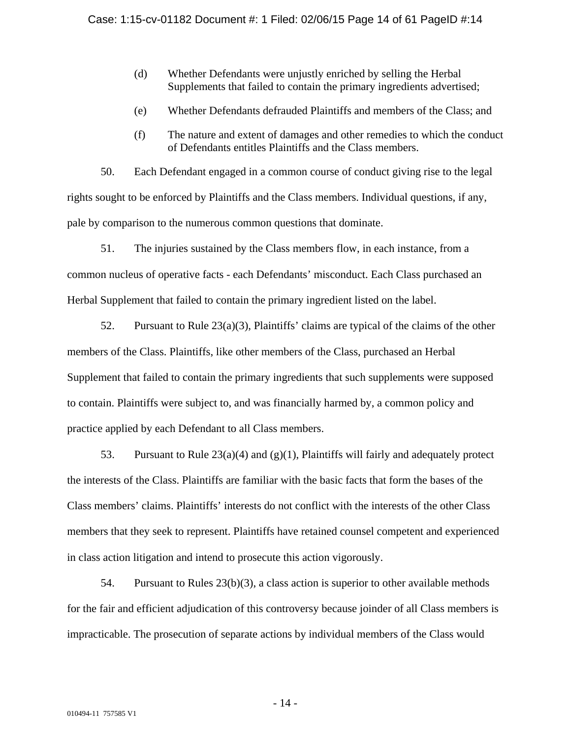- (d) Whether Defendants were unjustly enriched by selling the Herbal Supplements that failed to contain the primary ingredients advertised;
- (e) Whether Defendants defrauded Plaintiffs and members of the Class; and
- (f) The nature and extent of damages and other remedies to which the conduct of Defendants entitles Plaintiffs and the Class members.

50. Each Defendant engaged in a common course of conduct giving rise to the legal rights sought to be enforced by Plaintiffs and the Class members. Individual questions, if any, pale by comparison to the numerous common questions that dominate.

51. The injuries sustained by the Class members flow, in each instance, from a common nucleus of operative facts - each Defendants' misconduct. Each Class purchased an Herbal Supplement that failed to contain the primary ingredient listed on the label.

52. Pursuant to Rule  $23(a)(3)$ , Plaintiffs' claims are typical of the claims of the other members of the Class. Plaintiffs, like other members of the Class, purchased an Herbal Supplement that failed to contain the primary ingredients that such supplements were supposed to contain. Plaintiffs were subject to, and was financially harmed by, a common policy and practice applied by each Defendant to all Class members.

53. Pursuant to Rule 23(a)(4) and (g)(1), Plaintiffs will fairly and adequately protect the interests of the Class. Plaintiffs are familiar with the basic facts that form the bases of the Class members' claims. Plaintiffs' interests do not conflict with the interests of the other Class members that they seek to represent. Plaintiffs have retained counsel competent and experienced in class action litigation and intend to prosecute this action vigorously.

54. Pursuant to Rules 23(b)(3), a class action is superior to other available methods for the fair and efficient adjudication of this controversy because joinder of all Class members is impracticable. The prosecution of separate actions by individual members of the Class would

- 14 -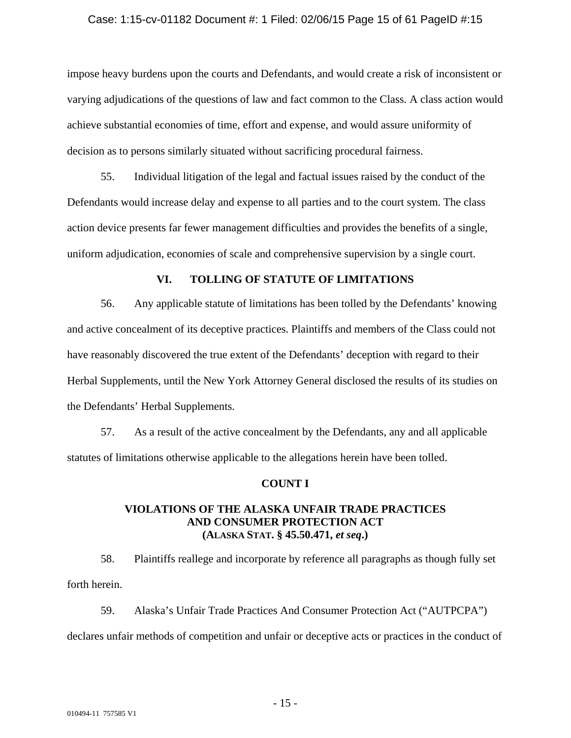### Case: 1:15-cv-01182 Document #: 1 Filed: 02/06/15 Page 15 of 61 PageID #:15

impose heavy burdens upon the courts and Defendants, and would create a risk of inconsistent or varying adjudications of the questions of law and fact common to the Class. A class action would achieve substantial economies of time, effort and expense, and would assure uniformity of decision as to persons similarly situated without sacrificing procedural fairness.

55. Individual litigation of the legal and factual issues raised by the conduct of the Defendants would increase delay and expense to all parties and to the court system. The class action device presents far fewer management difficulties and provides the benefits of a single, uniform adjudication, economies of scale and comprehensive supervision by a single court.

# **VI. TOLLING OF STATUTE OF LIMITATIONS**

56. Any applicable statute of limitations has been tolled by the Defendants' knowing and active concealment of its deceptive practices. Plaintiffs and members of the Class could not have reasonably discovered the true extent of the Defendants' deception with regard to their Herbal Supplements, until the New York Attorney General disclosed the results of its studies on the Defendants' Herbal Supplements.

57. As a result of the active concealment by the Defendants, any and all applicable statutes of limitations otherwise applicable to the allegations herein have been tolled.

### **COUNT I**

# **VIOLATIONS OF THE ALASKA UNFAIR TRADE PRACTICES AND CONSUMER PROTECTION ACT (ALASKA STAT. § 45.50.471,** *et seq***.)**

58. Plaintiffs reallege and incorporate by reference all paragraphs as though fully set forth herein.

59. Alaska's Unfair Trade Practices And Consumer Protection Act ("AUTPCPA") declares unfair methods of competition and unfair or deceptive acts or practices in the conduct of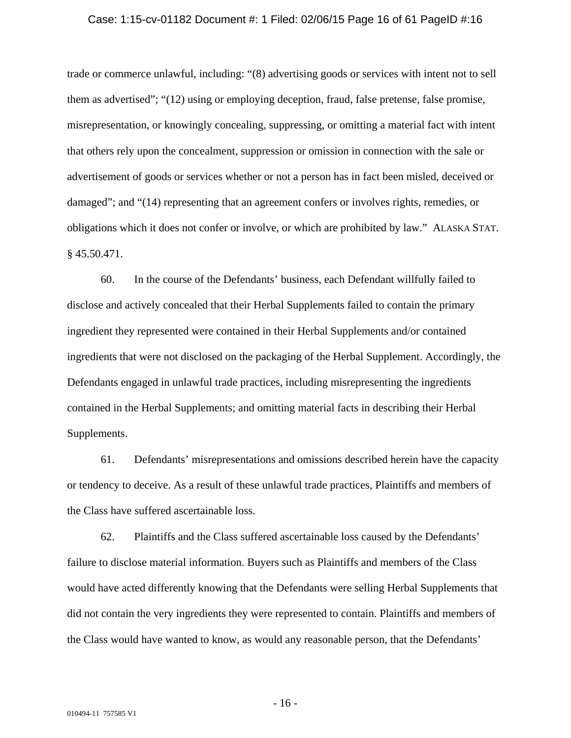#### Case: 1:15-cv-01182 Document #: 1 Filed: 02/06/15 Page 16 of 61 PageID #:16

trade or commerce unlawful, including: "(8) advertising goods or services with intent not to sell them as advertised"; "(12) using or employing deception, fraud, false pretense, false promise, misrepresentation, or knowingly concealing, suppressing, or omitting a material fact with intent that others rely upon the concealment, suppression or omission in connection with the sale or advertisement of goods or services whether or not a person has in fact been misled, deceived or damaged"; and "(14) representing that an agreement confers or involves rights, remedies, or obligations which it does not confer or involve, or which are prohibited by law." ALASKA STAT. § 45.50.471.

60. In the course of the Defendants' business, each Defendant willfully failed to disclose and actively concealed that their Herbal Supplements failed to contain the primary ingredient they represented were contained in their Herbal Supplements and/or contained ingredients that were not disclosed on the packaging of the Herbal Supplement. Accordingly, the Defendants engaged in unlawful trade practices, including misrepresenting the ingredients contained in the Herbal Supplements; and omitting material facts in describing their Herbal Supplements.

61. Defendants' misrepresentations and omissions described herein have the capacity or tendency to deceive. As a result of these unlawful trade practices, Plaintiffs and members of the Class have suffered ascertainable loss.

62. Plaintiffs and the Class suffered ascertainable loss caused by the Defendants' failure to disclose material information. Buyers such as Plaintiffs and members of the Class would have acted differently knowing that the Defendants were selling Herbal Supplements that did not contain the very ingredients they were represented to contain. Plaintiffs and members of the Class would have wanted to know, as would any reasonable person, that the Defendants'

- 16 -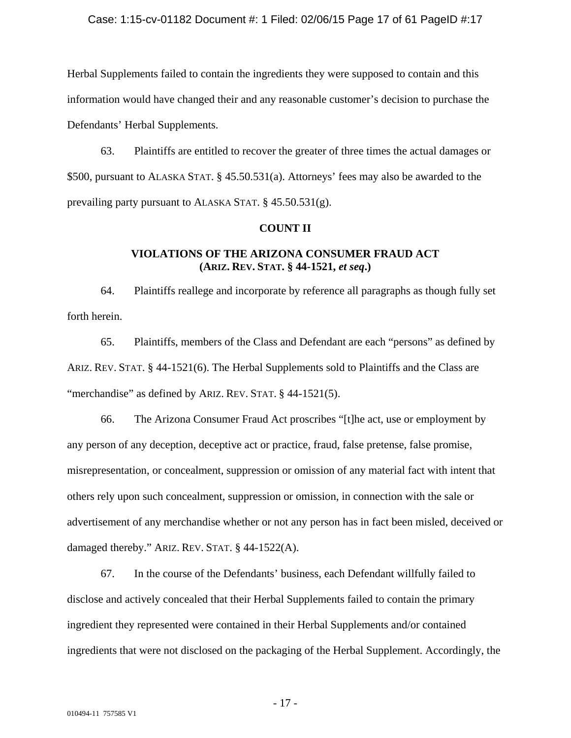### Case: 1:15-cv-01182 Document #: 1 Filed: 02/06/15 Page 17 of 61 PageID #:17

Herbal Supplements failed to contain the ingredients they were supposed to contain and this information would have changed their and any reasonable customer's decision to purchase the Defendants' Herbal Supplements.

63. Plaintiffs are entitled to recover the greater of three times the actual damages or \$500, pursuant to ALASKA STAT. § 45.50.531(a). Attorneys' fees may also be awarded to the prevailing party pursuant to ALASKA STAT. § 45.50.531(g).

### **COUNT II**

# **VIOLATIONS OF THE ARIZONA CONSUMER FRAUD ACT (ARIZ. REV. STAT. § 44-1521,** *et seq***.)**

64. Plaintiffs reallege and incorporate by reference all paragraphs as though fully set forth herein.

65. Plaintiffs, members of the Class and Defendant are each "persons" as defined by ARIZ. REV. STAT. § 44-1521(6). The Herbal Supplements sold to Plaintiffs and the Class are "merchandise" as defined by ARIZ. REV. STAT. § 44-1521(5).

66. The Arizona Consumer Fraud Act proscribes "[t]he act, use or employment by any person of any deception, deceptive act or practice, fraud, false pretense, false promise, misrepresentation, or concealment, suppression or omission of any material fact with intent that others rely upon such concealment, suppression or omission, in connection with the sale or advertisement of any merchandise whether or not any person has in fact been misled, deceived or damaged thereby." ARIZ. REV. STAT. § 44-1522(A).

67. In the course of the Defendants' business, each Defendant willfully failed to disclose and actively concealed that their Herbal Supplements failed to contain the primary ingredient they represented were contained in their Herbal Supplements and/or contained ingredients that were not disclosed on the packaging of the Herbal Supplement. Accordingly, the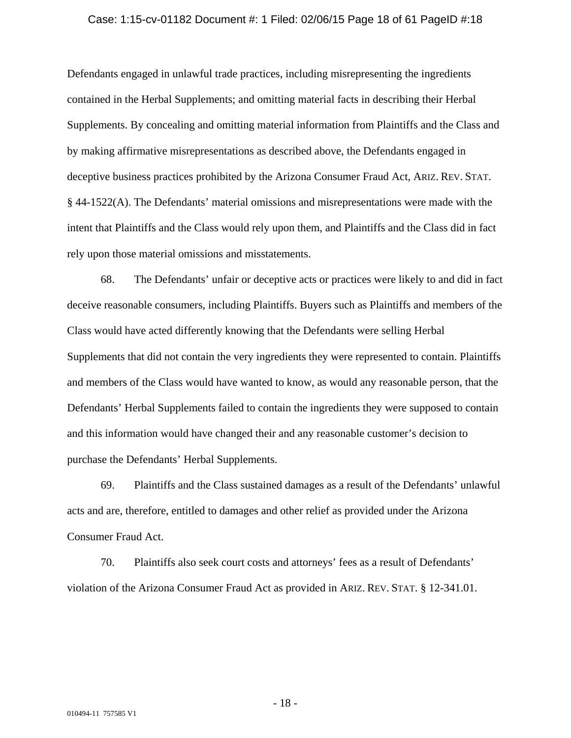#### Case: 1:15-cv-01182 Document #: 1 Filed: 02/06/15 Page 18 of 61 PageID #:18

Defendants engaged in unlawful trade practices, including misrepresenting the ingredients contained in the Herbal Supplements; and omitting material facts in describing their Herbal Supplements. By concealing and omitting material information from Plaintiffs and the Class and by making affirmative misrepresentations as described above, the Defendants engaged in deceptive business practices prohibited by the Arizona Consumer Fraud Act, ARIZ. REV. STAT. § 44-1522(A). The Defendants' material omissions and misrepresentations were made with the intent that Plaintiffs and the Class would rely upon them, and Plaintiffs and the Class did in fact rely upon those material omissions and misstatements.

68. The Defendants' unfair or deceptive acts or practices were likely to and did in fact deceive reasonable consumers, including Plaintiffs. Buyers such as Plaintiffs and members of the Class would have acted differently knowing that the Defendants were selling Herbal Supplements that did not contain the very ingredients they were represented to contain. Plaintiffs and members of the Class would have wanted to know, as would any reasonable person, that the Defendants' Herbal Supplements failed to contain the ingredients they were supposed to contain and this information would have changed their and any reasonable customer's decision to purchase the Defendants' Herbal Supplements.

69. Plaintiffs and the Class sustained damages as a result of the Defendants' unlawful acts and are, therefore, entitled to damages and other relief as provided under the Arizona Consumer Fraud Act.

70. Plaintiffs also seek court costs and attorneys' fees as a result of Defendants' violation of the Arizona Consumer Fraud Act as provided in ARIZ. REV. STAT. § 12-341.01.

- 18 -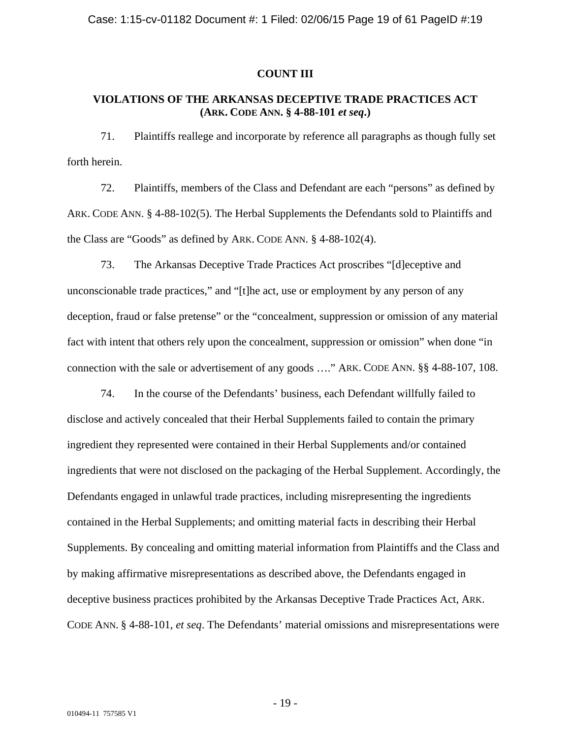### **COUNT III**

# **VIOLATIONS OF THE ARKANSAS DECEPTIVE TRADE PRACTICES ACT (ARK. CODE ANN. § 4-88-101** *et seq***.)**

71. Plaintiffs reallege and incorporate by reference all paragraphs as though fully set forth herein.

72. Plaintiffs, members of the Class and Defendant are each "persons" as defined by ARK. CODE ANN. § 4-88-102(5). The Herbal Supplements the Defendants sold to Plaintiffs and the Class are "Goods" as defined by ARK. CODE ANN. § 4-88-102(4).

73. The Arkansas Deceptive Trade Practices Act proscribes "[d]eceptive and unconscionable trade practices," and "[t]he act, use or employment by any person of any deception, fraud or false pretense" or the "concealment, suppression or omission of any material fact with intent that others rely upon the concealment, suppression or omission" when done "in connection with the sale or advertisement of any goods …." ARK. CODE ANN. §§ 4-88-107, 108.

74. In the course of the Defendants' business, each Defendant willfully failed to disclose and actively concealed that their Herbal Supplements failed to contain the primary ingredient they represented were contained in their Herbal Supplements and/or contained ingredients that were not disclosed on the packaging of the Herbal Supplement. Accordingly, the Defendants engaged in unlawful trade practices, including misrepresenting the ingredients contained in the Herbal Supplements; and omitting material facts in describing their Herbal Supplements. By concealing and omitting material information from Plaintiffs and the Class and by making affirmative misrepresentations as described above, the Defendants engaged in deceptive business practices prohibited by the Arkansas Deceptive Trade Practices Act, ARK. CODE ANN. § 4-88-101, *et seq*. The Defendants' material omissions and misrepresentations were

- 19 -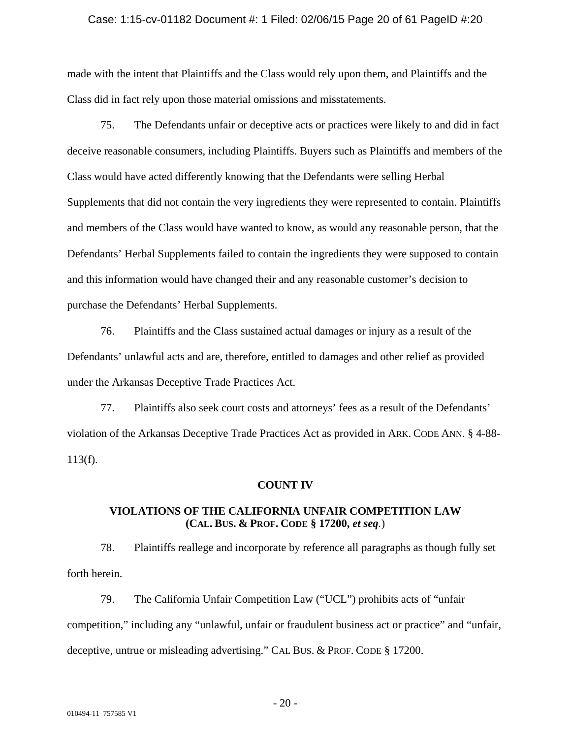#### Case: 1:15-cv-01182 Document #: 1 Filed: 02/06/15 Page 20 of 61 PageID #:20

made with the intent that Plaintiffs and the Class would rely upon them, and Plaintiffs and the Class did in fact rely upon those material omissions and misstatements.

75. The Defendants unfair or deceptive acts or practices were likely to and did in fact deceive reasonable consumers, including Plaintiffs. Buyers such as Plaintiffs and members of the Class would have acted differently knowing that the Defendants were selling Herbal Supplements that did not contain the very ingredients they were represented to contain. Plaintiffs and members of the Class would have wanted to know, as would any reasonable person, that the Defendants' Herbal Supplements failed to contain the ingredients they were supposed to contain and this information would have changed their and any reasonable customer's decision to purchase the Defendants' Herbal Supplements.

76. Plaintiffs and the Class sustained actual damages or injury as a result of the Defendants' unlawful acts and are, therefore, entitled to damages and other relief as provided under the Arkansas Deceptive Trade Practices Act.

77. Plaintiffs also seek court costs and attorneys' fees as a result of the Defendants' violation of the Arkansas Deceptive Trade Practices Act as provided in ARK. CODE ANN. § 4-88- 113(f).

### **COUNT IV**

# **VIOLATIONS OF THE CALIFORNIA UNFAIR COMPETITION LAW (CAL. BUS. & PROF. CODE § 17200,** *et seq.*)

78. Plaintiffs reallege and incorporate by reference all paragraphs as though fully set forth herein.

79. The California Unfair Competition Law ("UCL") prohibits acts of "unfair competition," including any "unlawful, unfair or fraudulent business act or practice" and "unfair, deceptive, untrue or misleading advertising." CAL BUS. & PROF. CODE § 17200.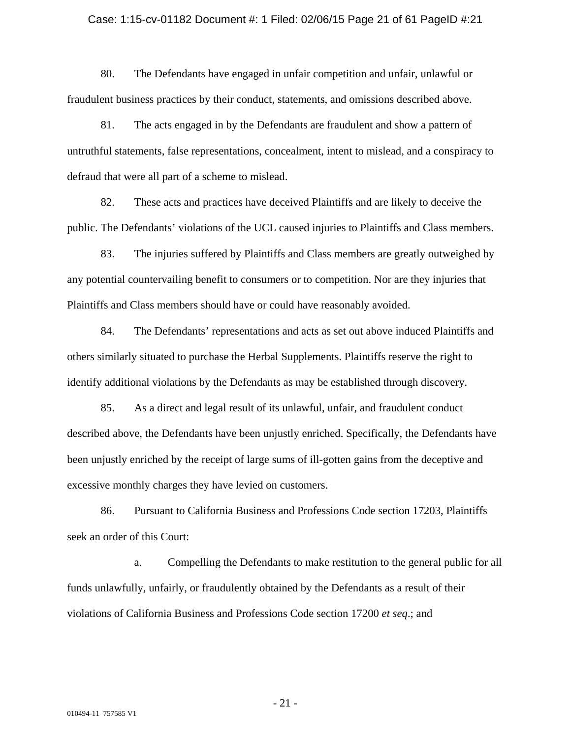#### Case: 1:15-cv-01182 Document #: 1 Filed: 02/06/15 Page 21 of 61 PageID #:21

80. The Defendants have engaged in unfair competition and unfair, unlawful or fraudulent business practices by their conduct, statements, and omissions described above.

81. The acts engaged in by the Defendants are fraudulent and show a pattern of untruthful statements, false representations, concealment, intent to mislead, and a conspiracy to defraud that were all part of a scheme to mislead.

82. These acts and practices have deceived Plaintiffs and are likely to deceive the public. The Defendants' violations of the UCL caused injuries to Plaintiffs and Class members.

83. The injuries suffered by Plaintiffs and Class members are greatly outweighed by any potential countervailing benefit to consumers or to competition. Nor are they injuries that Plaintiffs and Class members should have or could have reasonably avoided.

84. The Defendants' representations and acts as set out above induced Plaintiffs and others similarly situated to purchase the Herbal Supplements. Plaintiffs reserve the right to identify additional violations by the Defendants as may be established through discovery.

85. As a direct and legal result of its unlawful, unfair, and fraudulent conduct described above, the Defendants have been unjustly enriched. Specifically, the Defendants have been unjustly enriched by the receipt of large sums of ill-gotten gains from the deceptive and excessive monthly charges they have levied on customers.

86. Pursuant to California Business and Professions Code section 17203, Plaintiffs seek an order of this Court:

 a. Compelling the Defendants to make restitution to the general public for all funds unlawfully, unfairly, or fraudulently obtained by the Defendants as a result of their violations of California Business and Professions Code section 17200 *et seq*.; and

- 21 -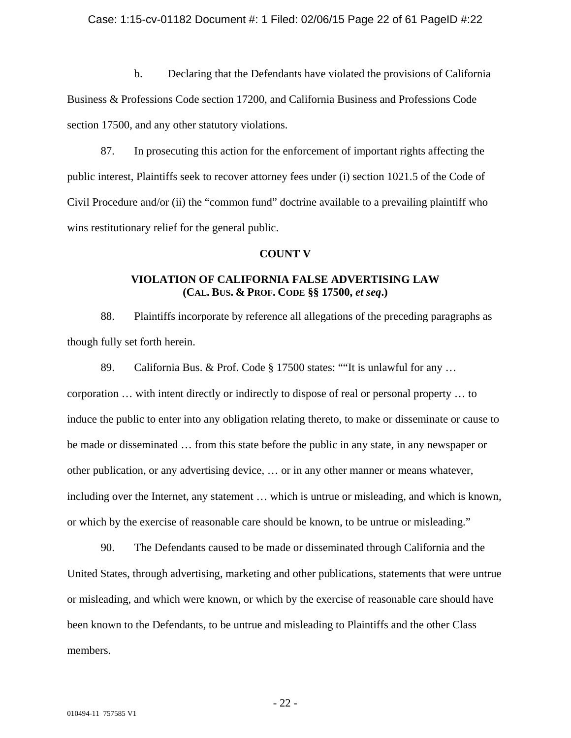### Case: 1:15-cv-01182 Document #: 1 Filed: 02/06/15 Page 22 of 61 PageID #:22

 b. Declaring that the Defendants have violated the provisions of California Business & Professions Code section 17200, and California Business and Professions Code section 17500, and any other statutory violations.

87. In prosecuting this action for the enforcement of important rights affecting the public interest, Plaintiffs seek to recover attorney fees under (i) section 1021.5 of the Code of Civil Procedure and/or (ii) the "common fund" doctrine available to a prevailing plaintiff who wins restitutionary relief for the general public.

### **COUNT V**

# **VIOLATION OF CALIFORNIA FALSE ADVERTISING LAW (CAL. BUS. & PROF. CODE §§ 17500,** *et seq***.)**

88. Plaintiffs incorporate by reference all allegations of the preceding paragraphs as though fully set forth herein.

89. California Bus. & Prof. Code § 17500 states: ""It is unlawful for any … corporation … with intent directly or indirectly to dispose of real or personal property … to induce the public to enter into any obligation relating thereto, to make or disseminate or cause to be made or disseminated … from this state before the public in any state, in any newspaper or other publication, or any advertising device, … or in any other manner or means whatever, including over the Internet, any statement … which is untrue or misleading, and which is known, or which by the exercise of reasonable care should be known, to be untrue or misleading."

90. The Defendants caused to be made or disseminated through California and the United States, through advertising, marketing and other publications, statements that were untrue or misleading, and which were known, or which by the exercise of reasonable care should have been known to the Defendants, to be untrue and misleading to Plaintiffs and the other Class members.

- 22 -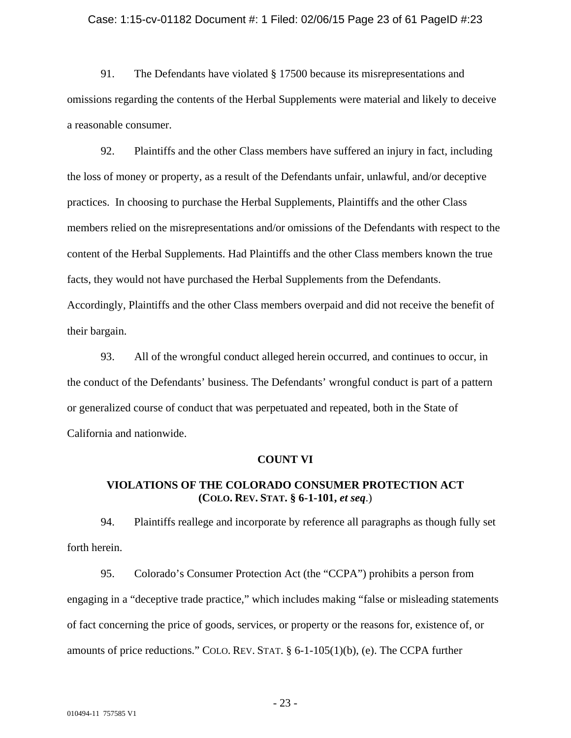#### Case: 1:15-cv-01182 Document #: 1 Filed: 02/06/15 Page 23 of 61 PageID #:23

91. The Defendants have violated § 17500 because its misrepresentations and omissions regarding the contents of the Herbal Supplements were material and likely to deceive a reasonable consumer.

92. Plaintiffs and the other Class members have suffered an injury in fact, including the loss of money or property, as a result of the Defendants unfair, unlawful, and/or deceptive practices. In choosing to purchase the Herbal Supplements, Plaintiffs and the other Class members relied on the misrepresentations and/or omissions of the Defendants with respect to the content of the Herbal Supplements. Had Plaintiffs and the other Class members known the true facts, they would not have purchased the Herbal Supplements from the Defendants. Accordingly, Plaintiffs and the other Class members overpaid and did not receive the benefit of their bargain.

93. All of the wrongful conduct alleged herein occurred, and continues to occur, in the conduct of the Defendants' business. The Defendants' wrongful conduct is part of a pattern or generalized course of conduct that was perpetuated and repeated, both in the State of California and nationwide.

### **COUNT VI**

# **VIOLATIONS OF THE COLORADO CONSUMER PROTECTION ACT (COLO. REV. STAT. § 6-1-101,** *et seq*.)

94. Plaintiffs reallege and incorporate by reference all paragraphs as though fully set forth herein.

95. Colorado's Consumer Protection Act (the "CCPA") prohibits a person from engaging in a "deceptive trade practice," which includes making "false or misleading statements of fact concerning the price of goods, services, or property or the reasons for, existence of, or amounts of price reductions." COLO. REV. STAT. § 6-1-105(1)(b), (e). The CCPA further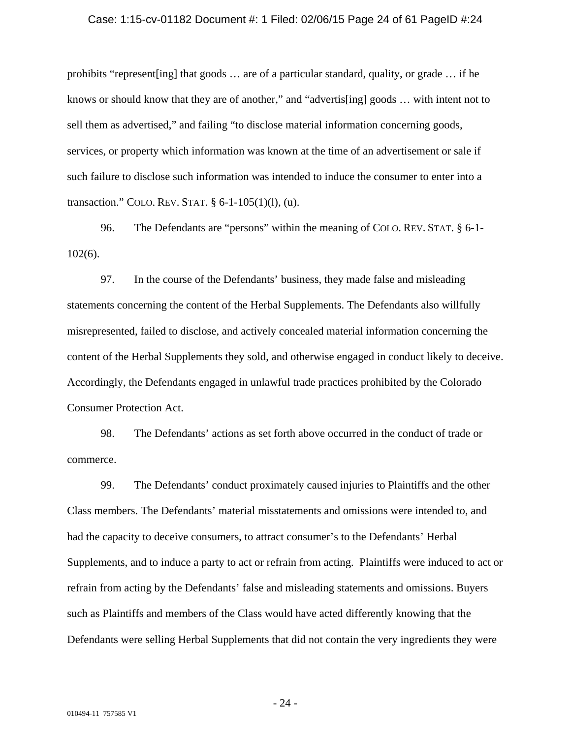#### Case: 1:15-cv-01182 Document #: 1 Filed: 02/06/15 Page 24 of 61 PageID #:24

prohibits "represent [ing] that goods  $\ldots$  are of a particular standard, quality, or grade  $\ldots$  if he knows or should know that they are of another," and "advertis[ing] goods … with intent not to sell them as advertised," and failing "to disclose material information concerning goods, services, or property which information was known at the time of an advertisement or sale if such failure to disclose such information was intended to induce the consumer to enter into a transaction." COLO. REV. STAT. § 6-1-105(1)(l), (u).

96. The Defendants are "persons" within the meaning of COLO. REV. STAT. § 6-1- 102(6).

97. In the course of the Defendants' business, they made false and misleading statements concerning the content of the Herbal Supplements. The Defendants also willfully misrepresented, failed to disclose, and actively concealed material information concerning the content of the Herbal Supplements they sold, and otherwise engaged in conduct likely to deceive. Accordingly, the Defendants engaged in unlawful trade practices prohibited by the Colorado Consumer Protection Act.

98. The Defendants' actions as set forth above occurred in the conduct of trade or commerce.

99. The Defendants' conduct proximately caused injuries to Plaintiffs and the other Class members. The Defendants' material misstatements and omissions were intended to, and had the capacity to deceive consumers, to attract consumer's to the Defendants' Herbal Supplements, and to induce a party to act or refrain from acting. Plaintiffs were induced to act or refrain from acting by the Defendants' false and misleading statements and omissions. Buyers such as Plaintiffs and members of the Class would have acted differently knowing that the Defendants were selling Herbal Supplements that did not contain the very ingredients they were

- 24 -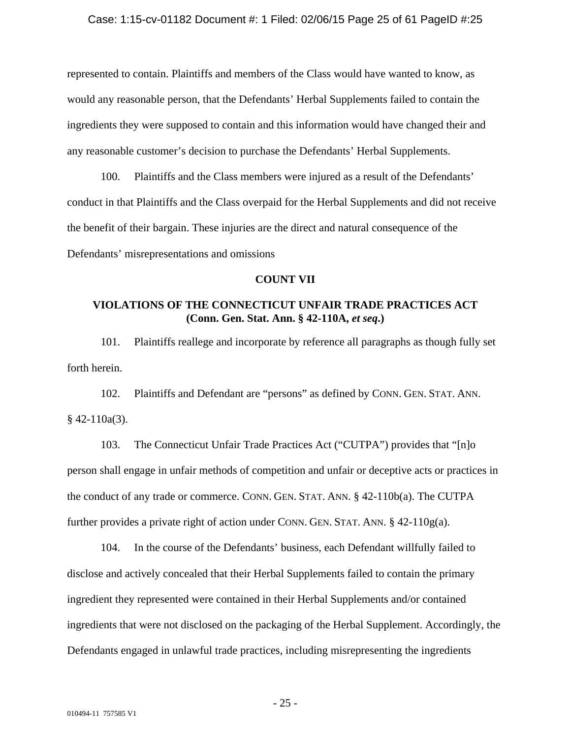represented to contain. Plaintiffs and members of the Class would have wanted to know, as would any reasonable person, that the Defendants' Herbal Supplements failed to contain the ingredients they were supposed to contain and this information would have changed their and any reasonable customer's decision to purchase the Defendants' Herbal Supplements.

100. Plaintiffs and the Class members were injured as a result of the Defendants' conduct in that Plaintiffs and the Class overpaid for the Herbal Supplements and did not receive the benefit of their bargain. These injuries are the direct and natural consequence of the Defendants' misrepresentations and omissions

# **COUNT VII**

# **VIOLATIONS OF THE CONNECTICUT UNFAIR TRADE PRACTICES ACT (Conn. Gen. Stat. Ann. § 42-110A,** *et seq***.)**

101. Plaintiffs reallege and incorporate by reference all paragraphs as though fully set forth herein.

102. Plaintiffs and Defendant are "persons" as defined by CONN. GEN. STAT. ANN.  $§$  42-110a(3).

103. The Connecticut Unfair Trade Practices Act ("CUTPA") provides that "[n]o person shall engage in unfair methods of competition and unfair or deceptive acts or practices in the conduct of any trade or commerce. CONN. GEN. STAT. ANN. § 42-110b(a). The CUTPA further provides a private right of action under CONN. GEN. STAT. ANN. § 42-110g(a).

104. In the course of the Defendants' business, each Defendant willfully failed to disclose and actively concealed that their Herbal Supplements failed to contain the primary ingredient they represented were contained in their Herbal Supplements and/or contained ingredients that were not disclosed on the packaging of the Herbal Supplement. Accordingly, the Defendants engaged in unlawful trade practices, including misrepresenting the ingredients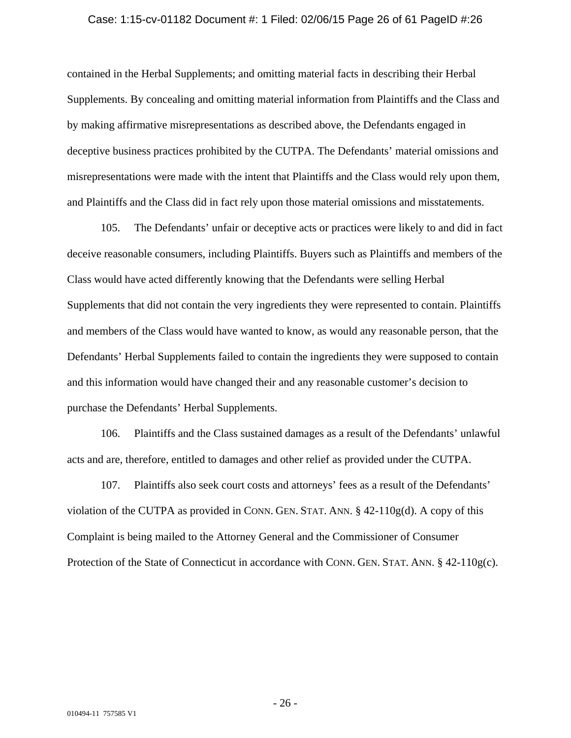#### Case: 1:15-cv-01182 Document #: 1 Filed: 02/06/15 Page 26 of 61 PageID #:26

contained in the Herbal Supplements; and omitting material facts in describing their Herbal Supplements. By concealing and omitting material information from Plaintiffs and the Class and by making affirmative misrepresentations as described above, the Defendants engaged in deceptive business practices prohibited by the CUTPA. The Defendants' material omissions and misrepresentations were made with the intent that Plaintiffs and the Class would rely upon them, and Plaintiffs and the Class did in fact rely upon those material omissions and misstatements.

105. The Defendants' unfair or deceptive acts or practices were likely to and did in fact deceive reasonable consumers, including Plaintiffs. Buyers such as Plaintiffs and members of the Class would have acted differently knowing that the Defendants were selling Herbal Supplements that did not contain the very ingredients they were represented to contain. Plaintiffs and members of the Class would have wanted to know, as would any reasonable person, that the Defendants' Herbal Supplements failed to contain the ingredients they were supposed to contain and this information would have changed their and any reasonable customer's decision to purchase the Defendants' Herbal Supplements.

106. Plaintiffs and the Class sustained damages as a result of the Defendants' unlawful acts and are, therefore, entitled to damages and other relief as provided under the CUTPA.

107. Plaintiffs also seek court costs and attorneys' fees as a result of the Defendants' violation of the CUTPA as provided in CONN. GEN. STAT. ANN.  $\S$  42-110g(d). A copy of this Complaint is being mailed to the Attorney General and the Commissioner of Consumer Protection of the State of Connecticut in accordance with CONN. GEN. STAT. ANN. § 42-110g(c).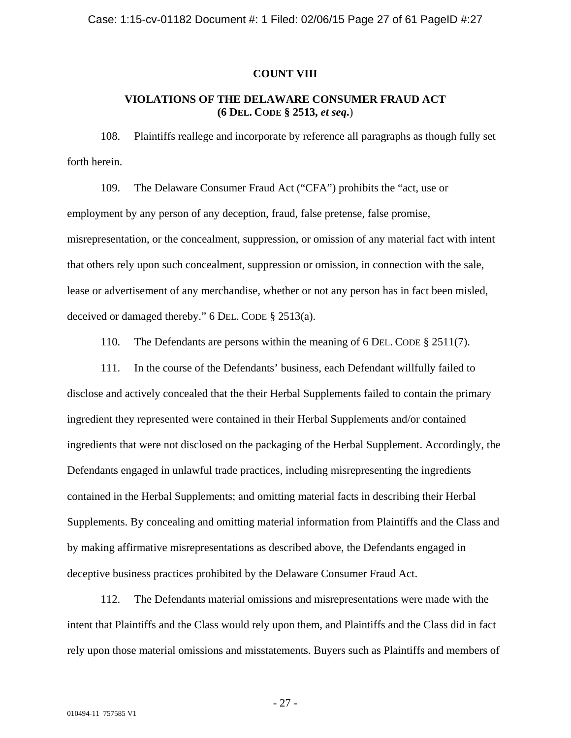### **COUNT VIII**

# **VIOLATIONS OF THE DELAWARE CONSUMER FRAUD ACT (6 DEL. CODE § 2513,** *et seq***.**)

108. Plaintiffs reallege and incorporate by reference all paragraphs as though fully set forth herein.

109. The Delaware Consumer Fraud Act ("CFA") prohibits the "act, use or employment by any person of any deception, fraud, false pretense, false promise, misrepresentation, or the concealment, suppression, or omission of any material fact with intent that others rely upon such concealment, suppression or omission, in connection with the sale, lease or advertisement of any merchandise, whether or not any person has in fact been misled, deceived or damaged thereby." 6 DEL. CODE § 2513(a).

110. The Defendants are persons within the meaning of 6 DEL. CODE § 2511(7).

111. In the course of the Defendants' business, each Defendant willfully failed to disclose and actively concealed that the their Herbal Supplements failed to contain the primary ingredient they represented were contained in their Herbal Supplements and/or contained ingredients that were not disclosed on the packaging of the Herbal Supplement. Accordingly, the Defendants engaged in unlawful trade practices, including misrepresenting the ingredients contained in the Herbal Supplements; and omitting material facts in describing their Herbal Supplements. By concealing and omitting material information from Plaintiffs and the Class and by making affirmative misrepresentations as described above, the Defendants engaged in deceptive business practices prohibited by the Delaware Consumer Fraud Act.

112. The Defendants material omissions and misrepresentations were made with the intent that Plaintiffs and the Class would rely upon them, and Plaintiffs and the Class did in fact rely upon those material omissions and misstatements. Buyers such as Plaintiffs and members of

- 27 -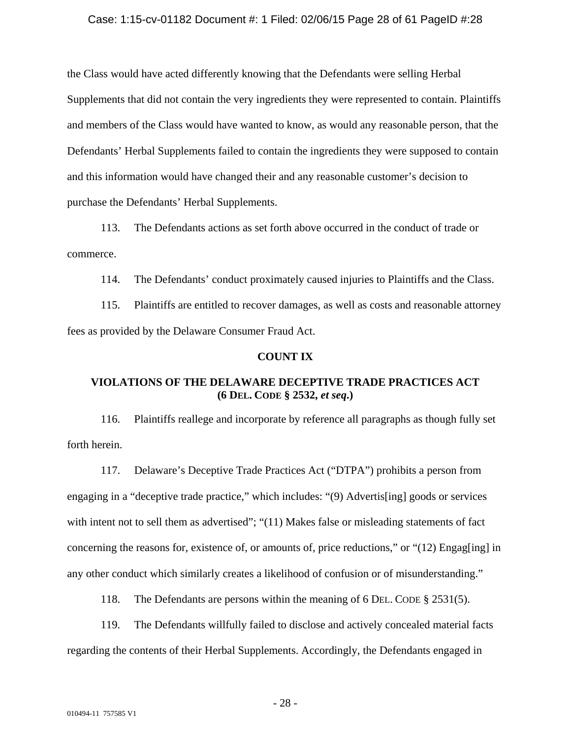### Case: 1:15-cv-01182 Document #: 1 Filed: 02/06/15 Page 28 of 61 PageID #:28

the Class would have acted differently knowing that the Defendants were selling Herbal Supplements that did not contain the very ingredients they were represented to contain. Plaintiffs and members of the Class would have wanted to know, as would any reasonable person, that the Defendants' Herbal Supplements failed to contain the ingredients they were supposed to contain and this information would have changed their and any reasonable customer's decision to purchase the Defendants' Herbal Supplements.

113. The Defendants actions as set forth above occurred in the conduct of trade or commerce.

114. The Defendants' conduct proximately caused injuries to Plaintiffs and the Class.

115. Plaintiffs are entitled to recover damages, as well as costs and reasonable attorney fees as provided by the Delaware Consumer Fraud Act.

### **COUNT IX**

# **VIOLATIONS OF THE DELAWARE DECEPTIVE TRADE PRACTICES ACT (6 DEL. CODE § 2532,** *et seq***.)**

116. Plaintiffs reallege and incorporate by reference all paragraphs as though fully set forth herein.

117. Delaware's Deceptive Trade Practices Act ("DTPA") prohibits a person from engaging in a "deceptive trade practice," which includes: "(9) Advertis[ing] goods or services with intent not to sell them as advertised"; "(11) Makes false or misleading statements of fact concerning the reasons for, existence of, or amounts of, price reductions," or "(12) Engag[ing] in any other conduct which similarly creates a likelihood of confusion or of misunderstanding."

118. The Defendants are persons within the meaning of 6 DEL. CODE § 2531(5).

119. The Defendants willfully failed to disclose and actively concealed material facts regarding the contents of their Herbal Supplements. Accordingly, the Defendants engaged in

- 28 -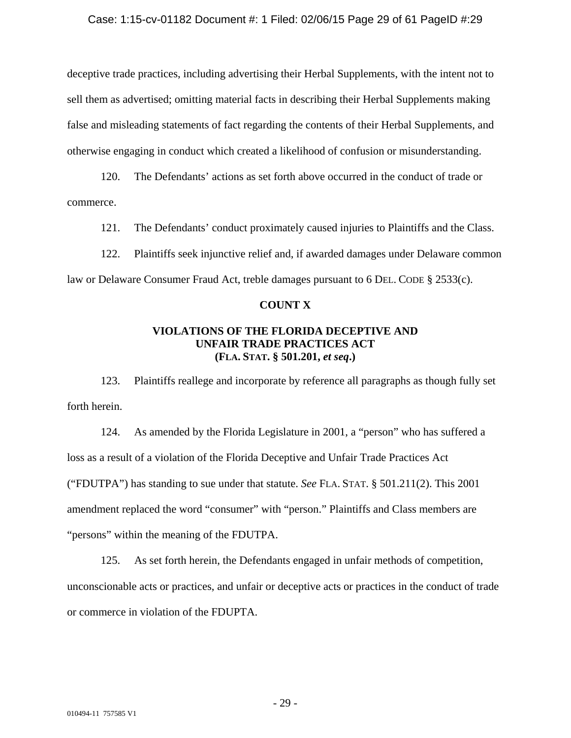### Case: 1:15-cv-01182 Document #: 1 Filed: 02/06/15 Page 29 of 61 PageID #:29

deceptive trade practices, including advertising their Herbal Supplements, with the intent not to sell them as advertised; omitting material facts in describing their Herbal Supplements making false and misleading statements of fact regarding the contents of their Herbal Supplements, and otherwise engaging in conduct which created a likelihood of confusion or misunderstanding.

120. The Defendants' actions as set forth above occurred in the conduct of trade or commerce.

121. The Defendants' conduct proximately caused injuries to Plaintiffs and the Class.

122. Plaintiffs seek injunctive relief and, if awarded damages under Delaware common law or Delaware Consumer Fraud Act, treble damages pursuant to 6 DEL. CODE § 2533(c).

### **COUNT X**

# **VIOLATIONS OF THE FLORIDA DECEPTIVE AND UNFAIR TRADE PRACTICES ACT (FLA. STAT. § 501.201,** *et seq***.)**

123. Plaintiffs reallege and incorporate by reference all paragraphs as though fully set forth herein.

124. As amended by the Florida Legislature in 2001, a "person" who has suffered a loss as a result of a violation of the Florida Deceptive and Unfair Trade Practices Act ("FDUTPA") has standing to sue under that statute. *See* FLA. STAT. § 501.211(2). This 2001 amendment replaced the word "consumer" with "person." Plaintiffs and Class members are "persons" within the meaning of the FDUTPA.

125. As set forth herein, the Defendants engaged in unfair methods of competition, unconscionable acts or practices, and unfair or deceptive acts or practices in the conduct of trade or commerce in violation of the FDUPTA.

- 29 -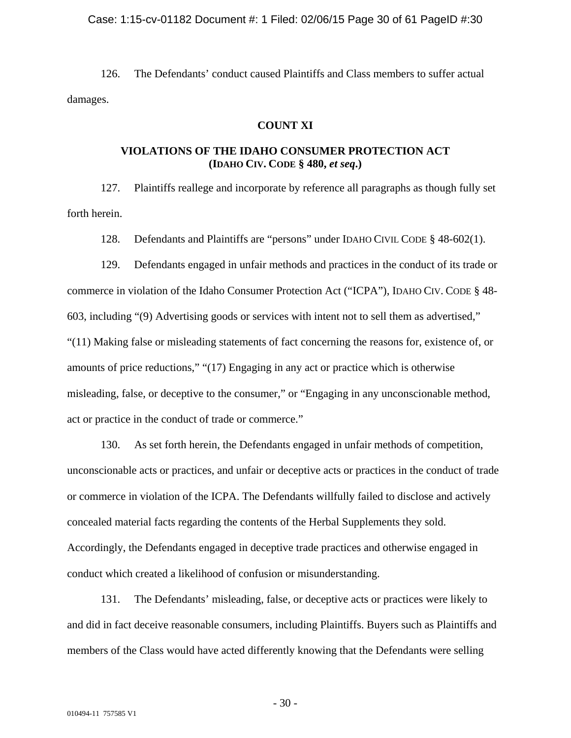#### Case: 1:15-cv-01182 Document #: 1 Filed: 02/06/15 Page 30 of 61 PageID #:30

126. The Defendants' conduct caused Plaintiffs and Class members to suffer actual damages.

# **COUNT XI**

# **VIOLATIONS OF THE IDAHO CONSUMER PROTECTION ACT (IDAHO CIV. CODE § 480,** *et seq***.)**

127. Plaintiffs reallege and incorporate by reference all paragraphs as though fully set forth herein.

128. Defendants and Plaintiffs are "persons" under IDAHO CIVIL CODE § 48-602(1).

129. Defendants engaged in unfair methods and practices in the conduct of its trade or commerce in violation of the Idaho Consumer Protection Act ("ICPA"), IDAHO CIV. CODE § 48- 603, including "(9) Advertising goods or services with intent not to sell them as advertised," "(11) Making false or misleading statements of fact concerning the reasons for, existence of, or amounts of price reductions," "(17) Engaging in any act or practice which is otherwise misleading, false, or deceptive to the consumer," or "Engaging in any unconscionable method, act or practice in the conduct of trade or commerce."

130. As set forth herein, the Defendants engaged in unfair methods of competition, unconscionable acts or practices, and unfair or deceptive acts or practices in the conduct of trade or commerce in violation of the ICPA. The Defendants willfully failed to disclose and actively concealed material facts regarding the contents of the Herbal Supplements they sold. Accordingly, the Defendants engaged in deceptive trade practices and otherwise engaged in conduct which created a likelihood of confusion or misunderstanding.

131. The Defendants' misleading, false, or deceptive acts or practices were likely to and did in fact deceive reasonable consumers, including Plaintiffs. Buyers such as Plaintiffs and members of the Class would have acted differently knowing that the Defendants were selling

- 30 -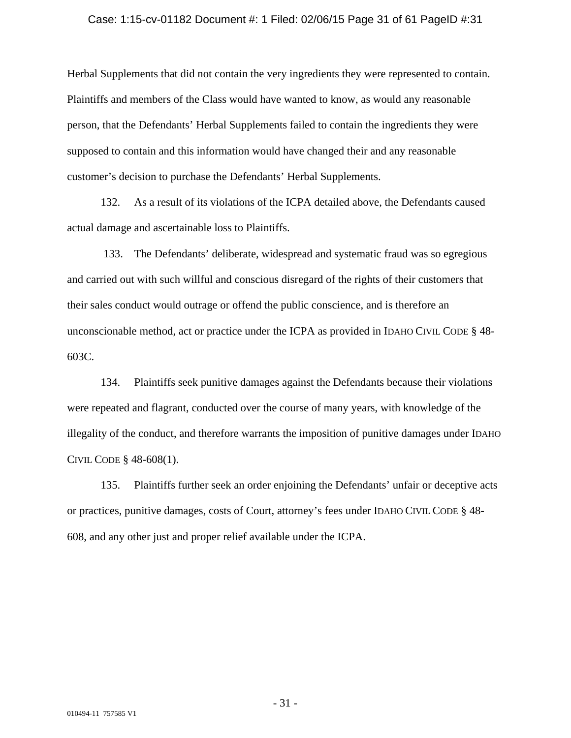#### Case: 1:15-cv-01182 Document #: 1 Filed: 02/06/15 Page 31 of 61 PageID #:31

Herbal Supplements that did not contain the very ingredients they were represented to contain. Plaintiffs and members of the Class would have wanted to know, as would any reasonable person, that the Defendants' Herbal Supplements failed to contain the ingredients they were supposed to contain and this information would have changed their and any reasonable customer's decision to purchase the Defendants' Herbal Supplements.

132. As a result of its violations of the ICPA detailed above, the Defendants caused actual damage and ascertainable loss to Plaintiffs.

 133. The Defendants' deliberate, widespread and systematic fraud was so egregious and carried out with such willful and conscious disregard of the rights of their customers that their sales conduct would outrage or offend the public conscience, and is therefore an unconscionable method, act or practice under the ICPA as provided in IDAHO CIVIL CODE § 48- 603C.

134. Plaintiffs seek punitive damages against the Defendants because their violations were repeated and flagrant, conducted over the course of many years, with knowledge of the illegality of the conduct, and therefore warrants the imposition of punitive damages under IDAHO CIVIL CODE § 48-608(1).

135. Plaintiffs further seek an order enjoining the Defendants' unfair or deceptive acts or practices, punitive damages, costs of Court, attorney's fees under IDAHO CIVIL CODE § 48- 608, and any other just and proper relief available under the ICPA.

- 31 -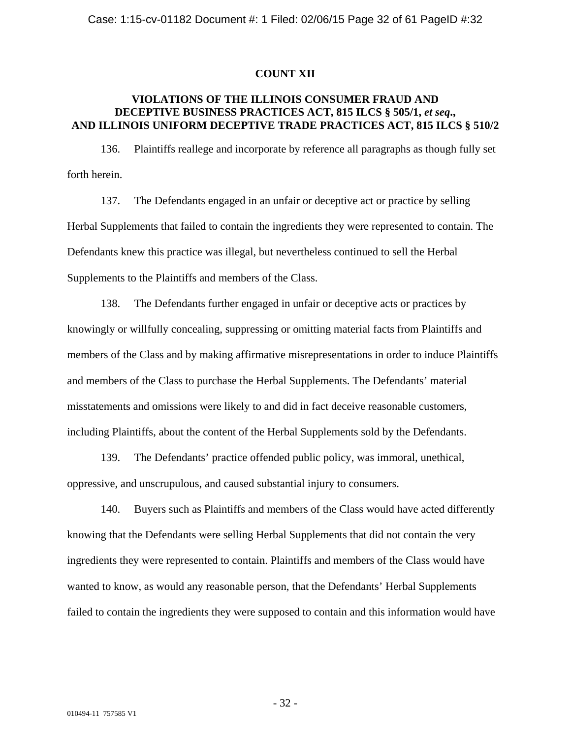### **COUNT XII**

# **VIOLATIONS OF THE ILLINOIS CONSUMER FRAUD AND DECEPTIVE BUSINESS PRACTICES ACT, 815 ILCS § 505/1,** *et seq***., AND ILLINOIS UNIFORM DECEPTIVE TRADE PRACTICES ACT, 815 ILCS § 510/2**

136. Plaintiffs reallege and incorporate by reference all paragraphs as though fully set forth herein.

137. The Defendants engaged in an unfair or deceptive act or practice by selling Herbal Supplements that failed to contain the ingredients they were represented to contain. The Defendants knew this practice was illegal, but nevertheless continued to sell the Herbal Supplements to the Plaintiffs and members of the Class.

138. The Defendants further engaged in unfair or deceptive acts or practices by knowingly or willfully concealing, suppressing or omitting material facts from Plaintiffs and members of the Class and by making affirmative misrepresentations in order to induce Plaintiffs and members of the Class to purchase the Herbal Supplements. The Defendants' material misstatements and omissions were likely to and did in fact deceive reasonable customers, including Plaintiffs, about the content of the Herbal Supplements sold by the Defendants.

139. The Defendants' practice offended public policy, was immoral, unethical, oppressive, and unscrupulous, and caused substantial injury to consumers.

140. Buyers such as Plaintiffs and members of the Class would have acted differently knowing that the Defendants were selling Herbal Supplements that did not contain the very ingredients they were represented to contain. Plaintiffs and members of the Class would have wanted to know, as would any reasonable person, that the Defendants' Herbal Supplements failed to contain the ingredients they were supposed to contain and this information would have

- 32 -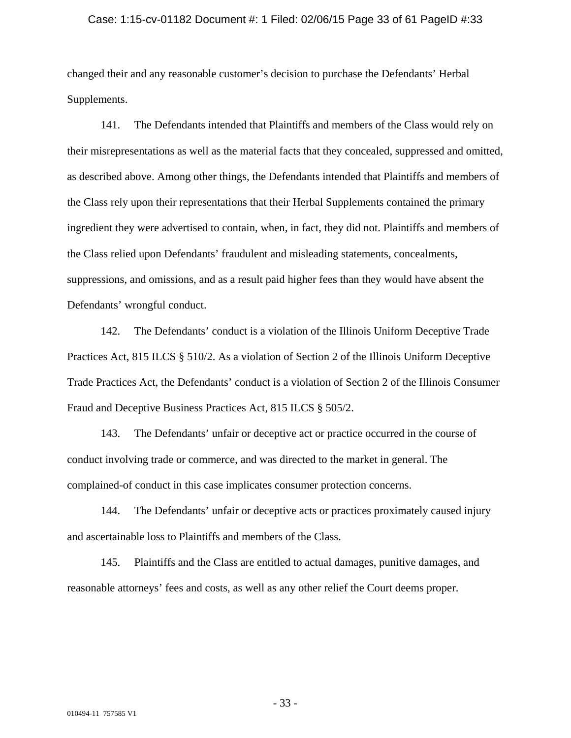#### Case: 1:15-cv-01182 Document #: 1 Filed: 02/06/15 Page 33 of 61 PageID #:33

changed their and any reasonable customer's decision to purchase the Defendants' Herbal Supplements.

141. The Defendants intended that Plaintiffs and members of the Class would rely on their misrepresentations as well as the material facts that they concealed, suppressed and omitted, as described above. Among other things, the Defendants intended that Plaintiffs and members of the Class rely upon their representations that their Herbal Supplements contained the primary ingredient they were advertised to contain, when, in fact, they did not. Plaintiffs and members of the Class relied upon Defendants' fraudulent and misleading statements, concealments, suppressions, and omissions, and as a result paid higher fees than they would have absent the Defendants' wrongful conduct.

142. The Defendants' conduct is a violation of the Illinois Uniform Deceptive Trade Practices Act, 815 ILCS § 510/2. As a violation of Section 2 of the Illinois Uniform Deceptive Trade Practices Act, the Defendants' conduct is a violation of Section 2 of the Illinois Consumer Fraud and Deceptive Business Practices Act, 815 ILCS § 505/2.

143. The Defendants' unfair or deceptive act or practice occurred in the course of conduct involving trade or commerce, and was directed to the market in general. The complained-of conduct in this case implicates consumer protection concerns.

144. The Defendants' unfair or deceptive acts or practices proximately caused injury and ascertainable loss to Plaintiffs and members of the Class.

145. Plaintiffs and the Class are entitled to actual damages, punitive damages, and reasonable attorneys' fees and costs, as well as any other relief the Court deems proper.

- 33 -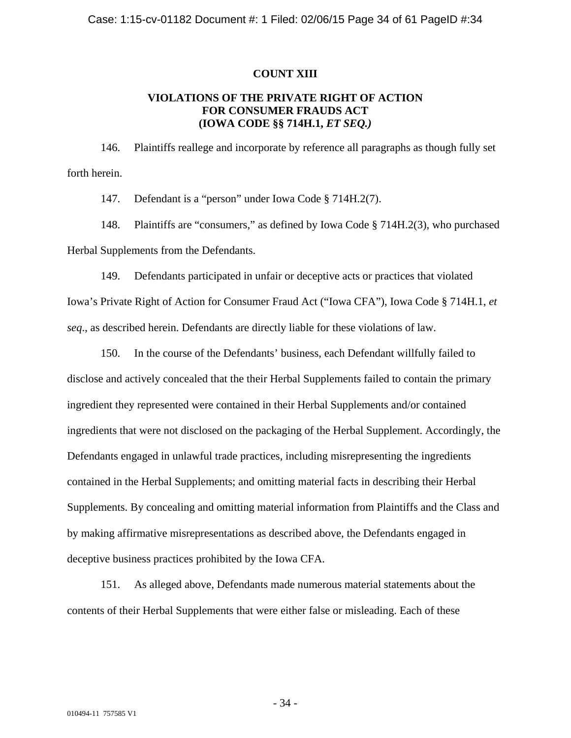### **COUNT XIII**

# **VIOLATIONS OF THE PRIVATE RIGHT OF ACTION FOR CONSUMER FRAUDS ACT (IOWA CODE §§ 714H.1,** *ET SEQ.)*

146. Plaintiffs reallege and incorporate by reference all paragraphs as though fully set forth herein.

147. Defendant is a "person" under Iowa Code § 714H.2(7).

148. Plaintiffs are "consumers," as defined by Iowa Code § 714H.2(3), who purchased Herbal Supplements from the Defendants.

149. Defendants participated in unfair or deceptive acts or practices that violated Iowa's Private Right of Action for Consumer Fraud Act ("Iowa CFA"), Iowa Code § 714H.1, *et seq*., as described herein. Defendants are directly liable for these violations of law.

150. In the course of the Defendants' business, each Defendant willfully failed to disclose and actively concealed that the their Herbal Supplements failed to contain the primary ingredient they represented were contained in their Herbal Supplements and/or contained ingredients that were not disclosed on the packaging of the Herbal Supplement. Accordingly, the Defendants engaged in unlawful trade practices, including misrepresenting the ingredients contained in the Herbal Supplements; and omitting material facts in describing their Herbal Supplements. By concealing and omitting material information from Plaintiffs and the Class and by making affirmative misrepresentations as described above, the Defendants engaged in deceptive business practices prohibited by the Iowa CFA.

151. As alleged above, Defendants made numerous material statements about the contents of their Herbal Supplements that were either false or misleading. Each of these

- 34 -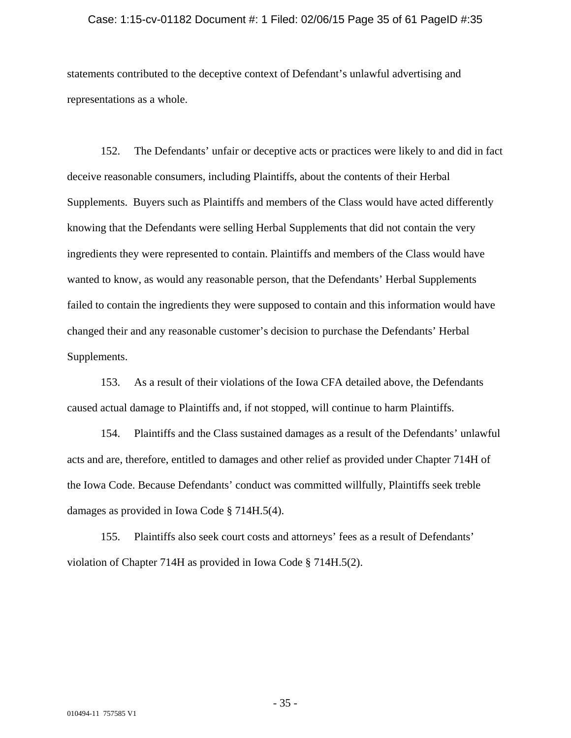#### Case: 1:15-cv-01182 Document #: 1 Filed: 02/06/15 Page 35 of 61 PageID #:35

statements contributed to the deceptive context of Defendant's unlawful advertising and representations as a whole.

152. The Defendants' unfair or deceptive acts or practices were likely to and did in fact deceive reasonable consumers, including Plaintiffs, about the contents of their Herbal Supplements. Buyers such as Plaintiffs and members of the Class would have acted differently knowing that the Defendants were selling Herbal Supplements that did not contain the very ingredients they were represented to contain. Plaintiffs and members of the Class would have wanted to know, as would any reasonable person, that the Defendants' Herbal Supplements failed to contain the ingredients they were supposed to contain and this information would have changed their and any reasonable customer's decision to purchase the Defendants' Herbal Supplements.

153. As a result of their violations of the Iowa CFA detailed above, the Defendants caused actual damage to Plaintiffs and, if not stopped, will continue to harm Plaintiffs.

154. Plaintiffs and the Class sustained damages as a result of the Defendants' unlawful acts and are, therefore, entitled to damages and other relief as provided under Chapter 714H of the Iowa Code. Because Defendants' conduct was committed willfully, Plaintiffs seek treble damages as provided in Iowa Code § 714H.5(4).

155. Plaintiffs also seek court costs and attorneys' fees as a result of Defendants' violation of Chapter 714H as provided in Iowa Code § 714H.5(2).

- 35 -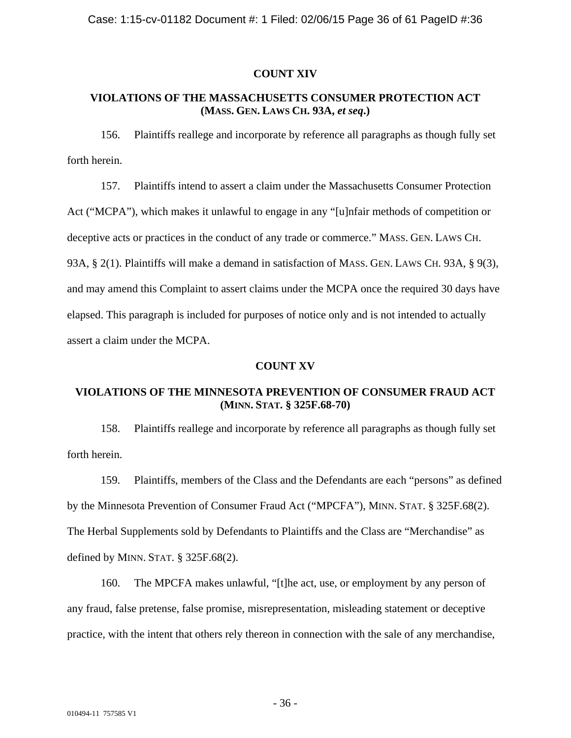# **COUNT XIV**

# **VIOLATIONS OF THE MASSACHUSETTS CONSUMER PROTECTION ACT (MASS. GEN. LAWS CH. 93A,** *et seq***.)**

156. Plaintiffs reallege and incorporate by reference all paragraphs as though fully set forth herein.

157. Plaintiffs intend to assert a claim under the Massachusetts Consumer Protection Act ("MCPA"), which makes it unlawful to engage in any "[u]nfair methods of competition or deceptive acts or practices in the conduct of any trade or commerce." MASS. GEN. LAWS CH. 93A, § 2(1). Plaintiffs will make a demand in satisfaction of MASS. GEN. LAWS CH. 93A, § 9(3), and may amend this Complaint to assert claims under the MCPA once the required 30 days have elapsed. This paragraph is included for purposes of notice only and is not intended to actually assert a claim under the MCPA.

# **COUNT XV**

# **VIOLATIONS OF THE MINNESOTA PREVENTION OF CONSUMER FRAUD ACT (MINN. STAT. § 325F.68-70)**

158. Plaintiffs reallege and incorporate by reference all paragraphs as though fully set forth herein.

159. Plaintiffs, members of the Class and the Defendants are each "persons" as defined by the Minnesota Prevention of Consumer Fraud Act ("MPCFA"), MINN. STAT. § 325F.68(2). The Herbal Supplements sold by Defendants to Plaintiffs and the Class are "Merchandise" as defined by MINN. STAT.  $\S$  325F.68(2).

160. The MPCFA makes unlawful, "[t]he act, use, or employment by any person of any fraud, false pretense, false promise, misrepresentation, misleading statement or deceptive practice, with the intent that others rely thereon in connection with the sale of any merchandise,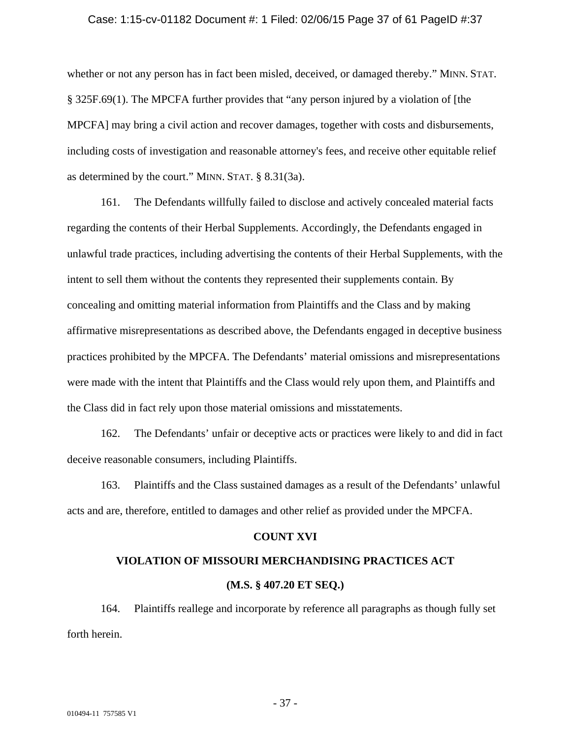#### Case: 1:15-cv-01182 Document #: 1 Filed: 02/06/15 Page 37 of 61 PageID #:37

whether or not any person has in fact been misled, deceived, or damaged thereby." MINN. STAT. § 325F.69(1). The MPCFA further provides that "any person injured by a violation of [the MPCFA] may bring a civil action and recover damages, together with costs and disbursements, including costs of investigation and reasonable attorney's fees, and receive other equitable relief as determined by the court." MINN. STAT. § 8.31(3a).

161. The Defendants willfully failed to disclose and actively concealed material facts regarding the contents of their Herbal Supplements. Accordingly, the Defendants engaged in unlawful trade practices, including advertising the contents of their Herbal Supplements, with the intent to sell them without the contents they represented their supplements contain. By concealing and omitting material information from Plaintiffs and the Class and by making affirmative misrepresentations as described above, the Defendants engaged in deceptive business practices prohibited by the MPCFA. The Defendants' material omissions and misrepresentations were made with the intent that Plaintiffs and the Class would rely upon them, and Plaintiffs and the Class did in fact rely upon those material omissions and misstatements.

162. The Defendants' unfair or deceptive acts or practices were likely to and did in fact deceive reasonable consumers, including Plaintiffs.

163. Plaintiffs and the Class sustained damages as a result of the Defendants' unlawful acts and are, therefore, entitled to damages and other relief as provided under the MPCFA.

#### **COUNT XVI**

# **VIOLATION OF MISSOURI MERCHANDISING PRACTICES ACT (M.S. § 407.20 ET SEQ.)**

164. Plaintiffs reallege and incorporate by reference all paragraphs as though fully set forth herein.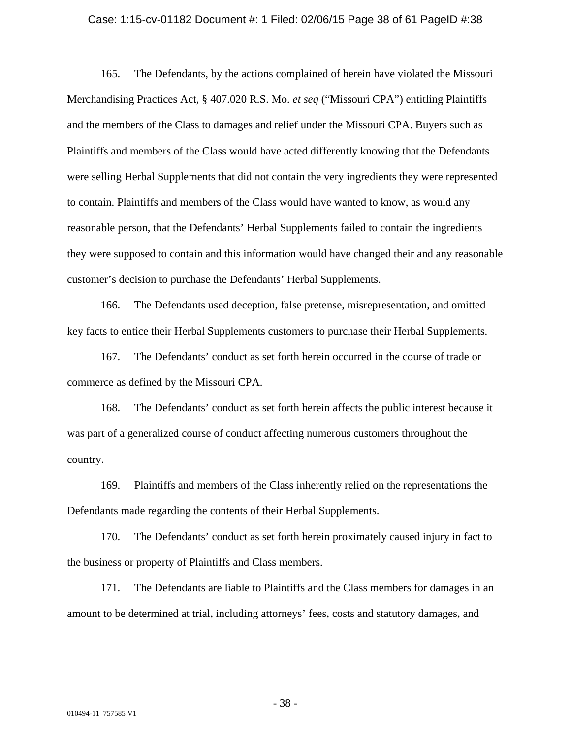#### Case: 1:15-cv-01182 Document #: 1 Filed: 02/06/15 Page 38 of 61 PageID #:38

165. The Defendants, by the actions complained of herein have violated the Missouri Merchandising Practices Act, § 407.020 R.S. Mo. *et seq* ("Missouri CPA") entitling Plaintiffs and the members of the Class to damages and relief under the Missouri CPA. Buyers such as Plaintiffs and members of the Class would have acted differently knowing that the Defendants were selling Herbal Supplements that did not contain the very ingredients they were represented to contain. Plaintiffs and members of the Class would have wanted to know, as would any reasonable person, that the Defendants' Herbal Supplements failed to contain the ingredients they were supposed to contain and this information would have changed their and any reasonable customer's decision to purchase the Defendants' Herbal Supplements.

166. The Defendants used deception, false pretense, misrepresentation, and omitted key facts to entice their Herbal Supplements customers to purchase their Herbal Supplements.

167. The Defendants' conduct as set forth herein occurred in the course of trade or commerce as defined by the Missouri CPA.

168. The Defendants' conduct as set forth herein affects the public interest because it was part of a generalized course of conduct affecting numerous customers throughout the country.

169. Plaintiffs and members of the Class inherently relied on the representations the Defendants made regarding the contents of their Herbal Supplements.

170. The Defendants' conduct as set forth herein proximately caused injury in fact to the business or property of Plaintiffs and Class members.

171. The Defendants are liable to Plaintiffs and the Class members for damages in an amount to be determined at trial, including attorneys' fees, costs and statutory damages, and

- 38 -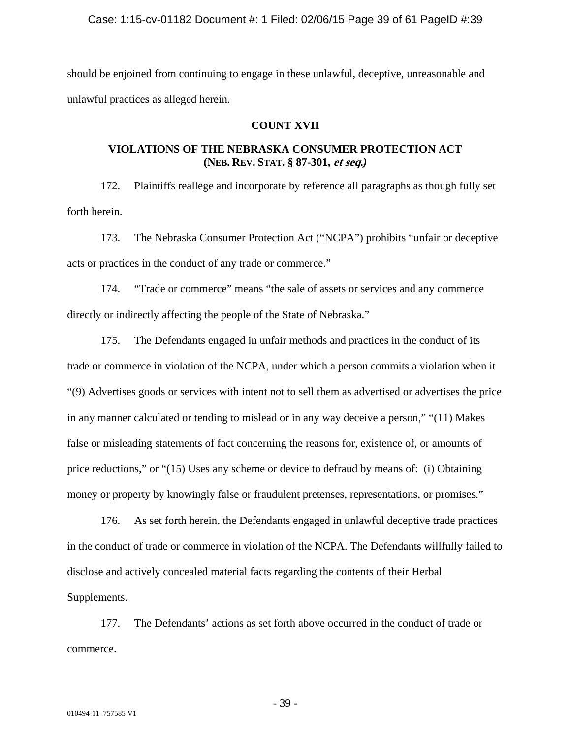should be enjoined from continuing to engage in these unlawful, deceptive, unreasonable and unlawful practices as alleged herein.

# **COUNT XVII**

# **VIOLATIONS OF THE NEBRASKA CONSUMER PROTECTION ACT (NEB. REV. STAT. § 87-301, et seq.***)*

172. Plaintiffs reallege and incorporate by reference all paragraphs as though fully set forth herein.

173. The Nebraska Consumer Protection Act ("NCPA") prohibits "unfair or deceptive acts or practices in the conduct of any trade or commerce."

174. "Trade or commerce" means "the sale of assets or services and any commerce directly or indirectly affecting the people of the State of Nebraska."

175. The Defendants engaged in unfair methods and practices in the conduct of its trade or commerce in violation of the NCPA, under which a person commits a violation when it "(9) Advertises goods or services with intent not to sell them as advertised or advertises the price in any manner calculated or tending to mislead or in any way deceive a person," "(11) Makes false or misleading statements of fact concerning the reasons for, existence of, or amounts of price reductions," or "(15) Uses any scheme or device to defraud by means of: (i) Obtaining money or property by knowingly false or fraudulent pretenses, representations, or promises."

176. As set forth herein, the Defendants engaged in unlawful deceptive trade practices in the conduct of trade or commerce in violation of the NCPA. The Defendants willfully failed to disclose and actively concealed material facts regarding the contents of their Herbal Supplements.

177. The Defendants' actions as set forth above occurred in the conduct of trade or commerce.

- 39 -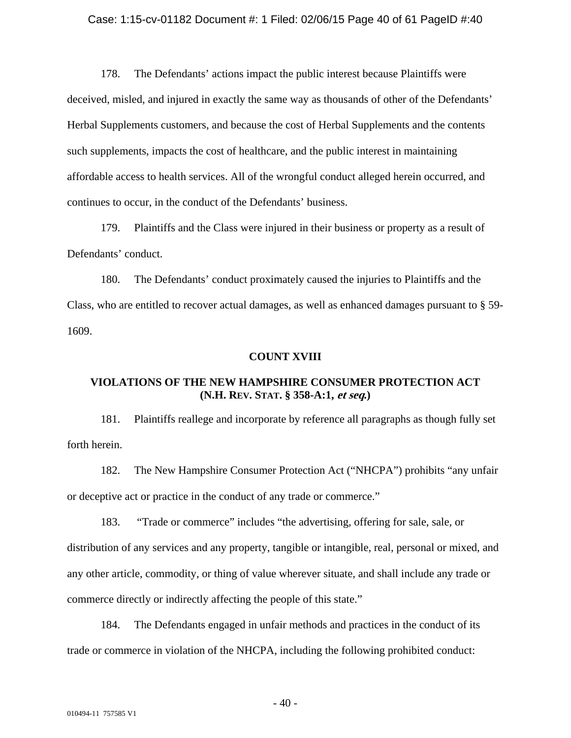#### Case: 1:15-cv-01182 Document #: 1 Filed: 02/06/15 Page 40 of 61 PageID #:40

178. The Defendants' actions impact the public interest because Plaintiffs were deceived, misled, and injured in exactly the same way as thousands of other of the Defendants' Herbal Supplements customers, and because the cost of Herbal Supplements and the contents such supplements, impacts the cost of healthcare, and the public interest in maintaining affordable access to health services. All of the wrongful conduct alleged herein occurred, and continues to occur, in the conduct of the Defendants' business.

179. Plaintiffs and the Class were injured in their business or property as a result of Defendants' conduct.

180. The Defendants' conduct proximately caused the injuries to Plaintiffs and the Class, who are entitled to recover actual damages, as well as enhanced damages pursuant to § 59- 1609.

### **COUNT XVIII**

# **VIOLATIONS OF THE NEW HAMPSHIRE CONSUMER PROTECTION ACT (N.H. REV. STAT. § 358-A:1, et seq.)**

181. Plaintiffs reallege and incorporate by reference all paragraphs as though fully set forth herein.

182. The New Hampshire Consumer Protection Act ("NHCPA") prohibits "any unfair or deceptive act or practice in the conduct of any trade or commerce."

183. "Trade or commerce" includes "the advertising, offering for sale, sale, or distribution of any services and any property, tangible or intangible, real, personal or mixed, and any other article, commodity, or thing of value wherever situate, and shall include any trade or commerce directly or indirectly affecting the people of this state."

184. The Defendants engaged in unfair methods and practices in the conduct of its trade or commerce in violation of the NHCPA, including the following prohibited conduct:

 $-40-$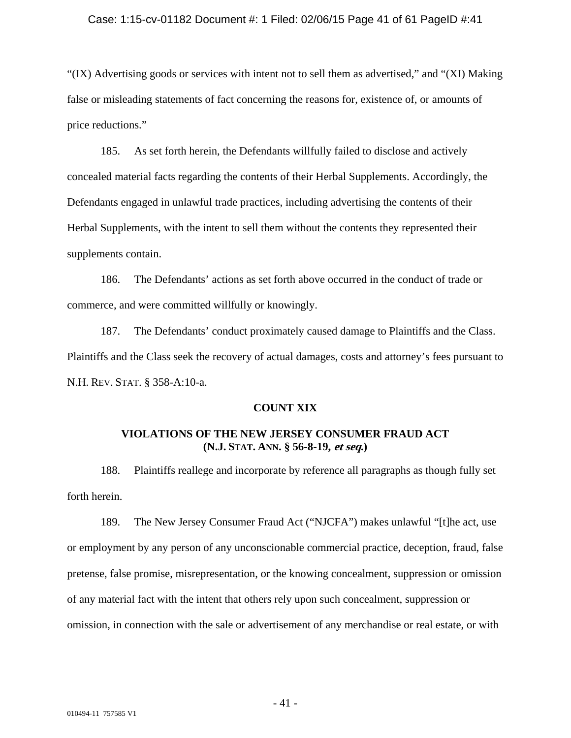#### Case: 1:15-cv-01182 Document #: 1 Filed: 02/06/15 Page 41 of 61 PageID #:41

"(IX) Advertising goods or services with intent not to sell them as advertised," and "(XI) Making false or misleading statements of fact concerning the reasons for, existence of, or amounts of price reductions."

185. As set forth herein, the Defendants willfully failed to disclose and actively concealed material facts regarding the contents of their Herbal Supplements. Accordingly, the Defendants engaged in unlawful trade practices, including advertising the contents of their Herbal Supplements, with the intent to sell them without the contents they represented their supplements contain.

186. The Defendants' actions as set forth above occurred in the conduct of trade or commerce, and were committed willfully or knowingly.

187. The Defendants' conduct proximately caused damage to Plaintiffs and the Class. Plaintiffs and the Class seek the recovery of actual damages, costs and attorney's fees pursuant to N.H. REV. STAT. § 358-A:10-a.

### **COUNT XIX**

# **VIOLATIONS OF THE NEW JERSEY CONSUMER FRAUD ACT (N.J. STAT. ANN. § 56-8-19, et seq.)**

188. Plaintiffs reallege and incorporate by reference all paragraphs as though fully set forth herein.

189. The New Jersey Consumer Fraud Act ("NJCFA") makes unlawful "[t]he act, use or employment by any person of any unconscionable commercial practice, deception, fraud, false pretense, false promise, misrepresentation, or the knowing concealment, suppression or omission of any material fact with the intent that others rely upon such concealment, suppression or omission, in connection with the sale or advertisement of any merchandise or real estate, or with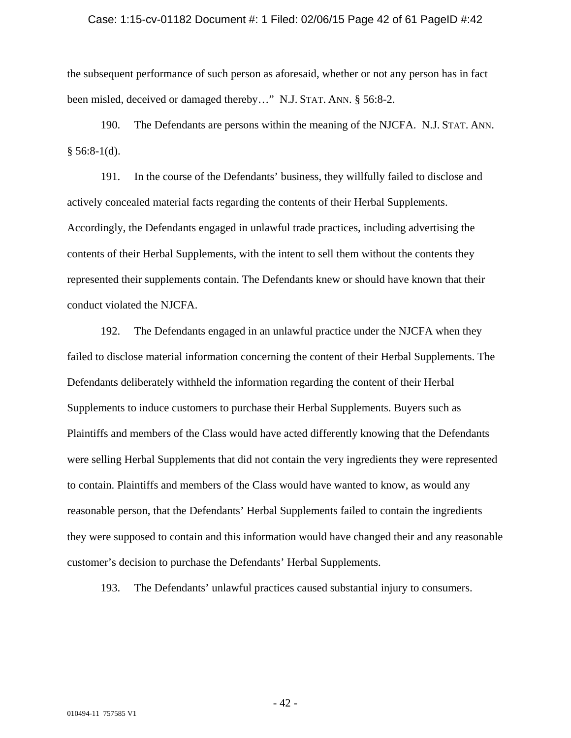#### Case: 1:15-cv-01182 Document #: 1 Filed: 02/06/15 Page 42 of 61 PageID #:42

the subsequent performance of such person as aforesaid, whether or not any person has in fact been misled, deceived or damaged thereby..." N.J. STAT. ANN. § 56:8-2.

190. The Defendants are persons within the meaning of the NJCFA. N.J. STAT. ANN.  $§ 56:8-1(d).$ 

191. In the course of the Defendants' business, they willfully failed to disclose and actively concealed material facts regarding the contents of their Herbal Supplements. Accordingly, the Defendants engaged in unlawful trade practices, including advertising the contents of their Herbal Supplements, with the intent to sell them without the contents they represented their supplements contain. The Defendants knew or should have known that their conduct violated the NJCFA.

192. The Defendants engaged in an unlawful practice under the NJCFA when they failed to disclose material information concerning the content of their Herbal Supplements. The Defendants deliberately withheld the information regarding the content of their Herbal Supplements to induce customers to purchase their Herbal Supplements. Buyers such as Plaintiffs and members of the Class would have acted differently knowing that the Defendants were selling Herbal Supplements that did not contain the very ingredients they were represented to contain. Plaintiffs and members of the Class would have wanted to know, as would any reasonable person, that the Defendants' Herbal Supplements failed to contain the ingredients they were supposed to contain and this information would have changed their and any reasonable customer's decision to purchase the Defendants' Herbal Supplements.

193. The Defendants' unlawful practices caused substantial injury to consumers.

- 42 -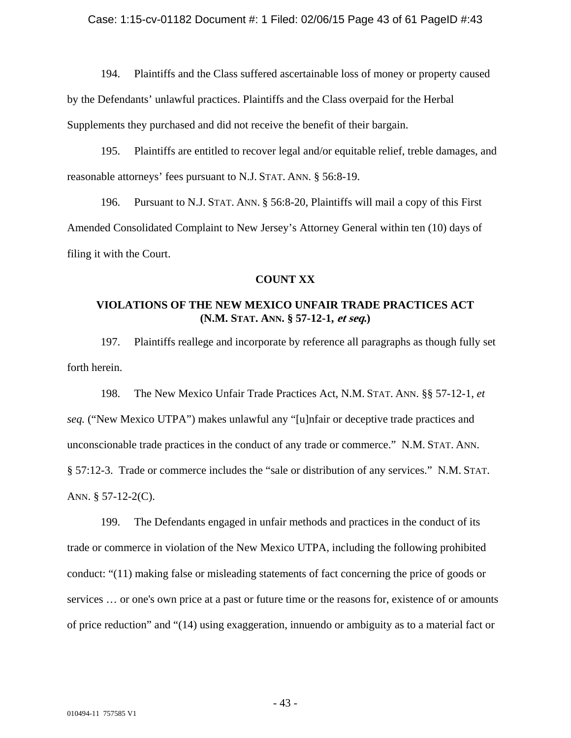194. Plaintiffs and the Class suffered ascertainable loss of money or property caused by the Defendants' unlawful practices. Plaintiffs and the Class overpaid for the Herbal Supplements they purchased and did not receive the benefit of their bargain.

195. Plaintiffs are entitled to recover legal and/or equitable relief, treble damages, and reasonable attorneys' fees pursuant to N.J. STAT. ANN. § 56:8-19.

196. Pursuant to N.J. STAT. ANN. § 56:8-20, Plaintiffs will mail a copy of this First Amended Consolidated Complaint to New Jersey's Attorney General within ten (10) days of filing it with the Court.

### **COUNT XX**

# **VIOLATIONS OF THE NEW MEXICO UNFAIR TRADE PRACTICES ACT (N.M. STAT. ANN. § 57-12-1, et seq.)**

197. Plaintiffs reallege and incorporate by reference all paragraphs as though fully set forth herein.

198. The New Mexico Unfair Trade Practices Act, N.M. STAT. ANN. §§ 57-12-1, *et seq.* ("New Mexico UTPA") makes unlawful any "[u]nfair or deceptive trade practices and unconscionable trade practices in the conduct of any trade or commerce." N.M. STAT. ANN. § 57:12-3. Trade or commerce includes the "sale or distribution of any services." N.M. STAT. ANN.  $\S$  57-12-2(C).

199. The Defendants engaged in unfair methods and practices in the conduct of its trade or commerce in violation of the New Mexico UTPA, including the following prohibited conduct: "(11) making false or misleading statements of fact concerning the price of goods or services … or one's own price at a past or future time or the reasons for, existence of or amounts of price reduction" and "(14) using exaggeration, innuendo or ambiguity as to a material fact or

- 43 -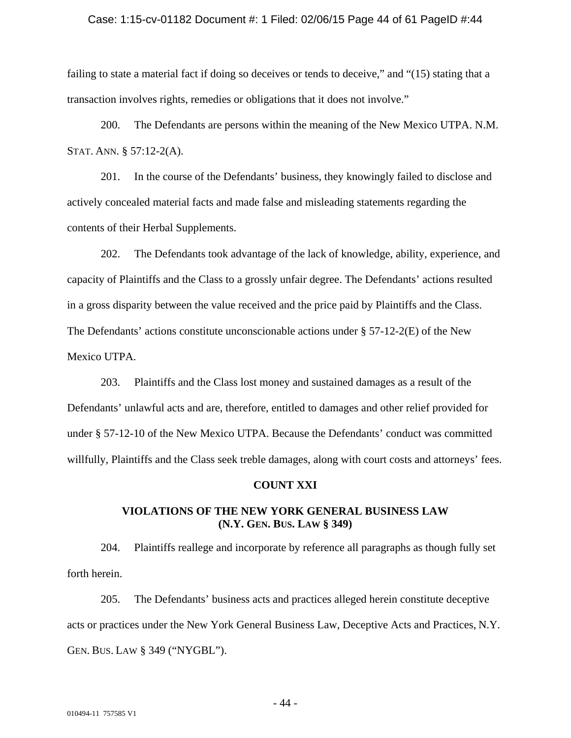#### Case: 1:15-cv-01182 Document #: 1 Filed: 02/06/15 Page 44 of 61 PageID #:44

failing to state a material fact if doing so deceives or tends to deceive," and "(15) stating that a transaction involves rights, remedies or obligations that it does not involve."

200. The Defendants are persons within the meaning of the New Mexico UTPA. N.M. STAT. ANN. § 57:12-2(A).

201. In the course of the Defendants' business, they knowingly failed to disclose and actively concealed material facts and made false and misleading statements regarding the contents of their Herbal Supplements.

202. The Defendants took advantage of the lack of knowledge, ability, experience, and capacity of Plaintiffs and the Class to a grossly unfair degree. The Defendants' actions resulted in a gross disparity between the value received and the price paid by Plaintiffs and the Class. The Defendants' actions constitute unconscionable actions under  $\S 57-12-2(E)$  of the New Mexico UTPA.

203. Plaintiffs and the Class lost money and sustained damages as a result of the Defendants' unlawful acts and are, therefore, entitled to damages and other relief provided for under § 57-12-10 of the New Mexico UTPA. Because the Defendants' conduct was committed willfully, Plaintiffs and the Class seek treble damages, along with court costs and attorneys' fees.

#### **COUNT XXI**

# **VIOLATIONS OF THE NEW YORK GENERAL BUSINESS LAW (N.Y. GEN. BUS. LAW § 349)**

204. Plaintiffs reallege and incorporate by reference all paragraphs as though fully set forth herein.

205. The Defendants' business acts and practices alleged herein constitute deceptive acts or practices under the New York General Business Law, Deceptive Acts and Practices, N.Y. GEN. BUS. LAW § 349 ("NYGBL").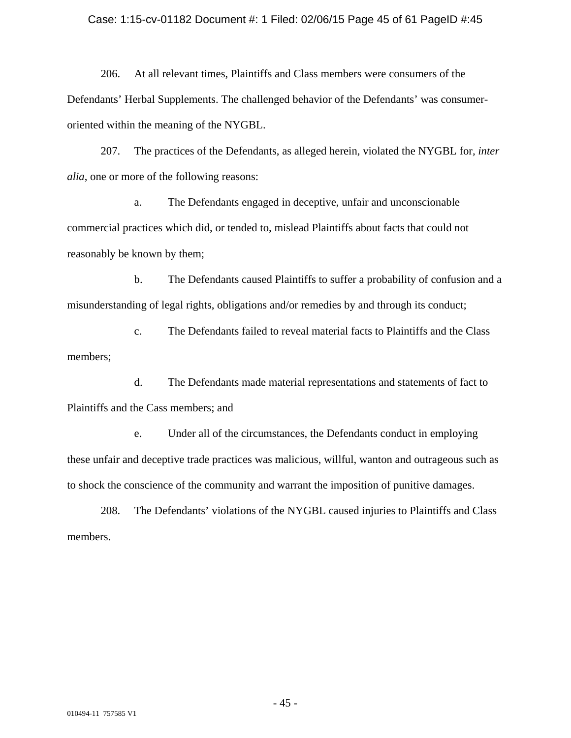#### Case: 1:15-cv-01182 Document #: 1 Filed: 02/06/15 Page 45 of 61 PageID #:45

206. At all relevant times, Plaintiffs and Class members were consumers of the Defendants' Herbal Supplements. The challenged behavior of the Defendants' was consumeroriented within the meaning of the NYGBL.

207. The practices of the Defendants, as alleged herein, violated the NYGBL for*, inter alia*, one or more of the following reasons:

 a. The Defendants engaged in deceptive, unfair and unconscionable commercial practices which did, or tended to, mislead Plaintiffs about facts that could not reasonably be known by them;

 b. The Defendants caused Plaintiffs to suffer a probability of confusion and a misunderstanding of legal rights, obligations and/or remedies by and through its conduct;

 c. The Defendants failed to reveal material facts to Plaintiffs and the Class members;

 d. The Defendants made material representations and statements of fact to Plaintiffs and the Cass members; and

 e. Under all of the circumstances, the Defendants conduct in employing these unfair and deceptive trade practices was malicious, willful, wanton and outrageous such as to shock the conscience of the community and warrant the imposition of punitive damages.

208. The Defendants' violations of the NYGBL caused injuries to Plaintiffs and Class members.

- 45 -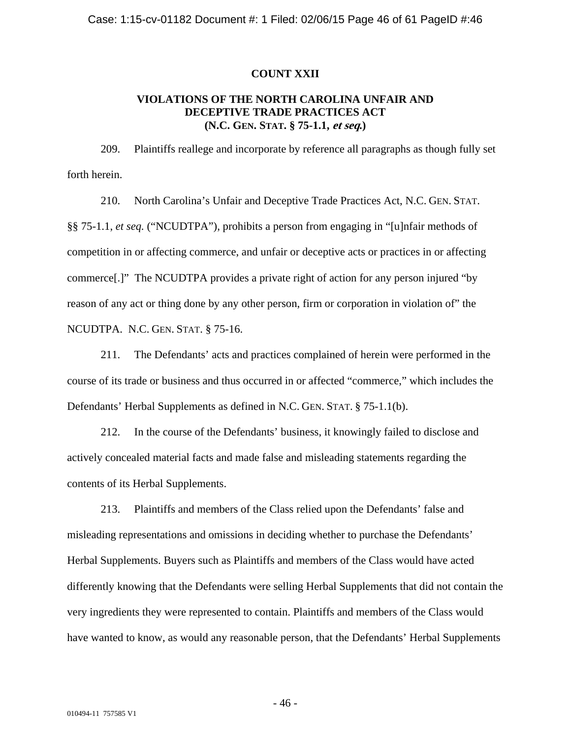### **COUNT XXII**

# **VIOLATIONS OF THE NORTH CAROLINA UNFAIR AND DECEPTIVE TRADE PRACTICES ACT (N.C. GEN. STAT. § 75-1.1, et seq.)**

209. Plaintiffs reallege and incorporate by reference all paragraphs as though fully set forth herein.

210. North Carolina's Unfair and Deceptive Trade Practices Act, N.C. GEN. STAT. §§ 75-1.1, *et seq.* ("NCUDTPA"), prohibits a person from engaging in "[u]nfair methods of competition in or affecting commerce, and unfair or deceptive acts or practices in or affecting commerce[.]" The NCUDTPA provides a private right of action for any person injured "by reason of any act or thing done by any other person, firm or corporation in violation of" the NCUDTPA. N.C. GEN. STAT. § 75-16.

211. The Defendants' acts and practices complained of herein were performed in the course of its trade or business and thus occurred in or affected "commerce," which includes the Defendants' Herbal Supplements as defined in N.C. GEN. STAT. § 75-1.1(b).

212. In the course of the Defendants' business, it knowingly failed to disclose and actively concealed material facts and made false and misleading statements regarding the contents of its Herbal Supplements.

213. Plaintiffs and members of the Class relied upon the Defendants' false and misleading representations and omissions in deciding whether to purchase the Defendants' Herbal Supplements. Buyers such as Plaintiffs and members of the Class would have acted differently knowing that the Defendants were selling Herbal Supplements that did not contain the very ingredients they were represented to contain. Plaintiffs and members of the Class would have wanted to know, as would any reasonable person, that the Defendants' Herbal Supplements

- 46 -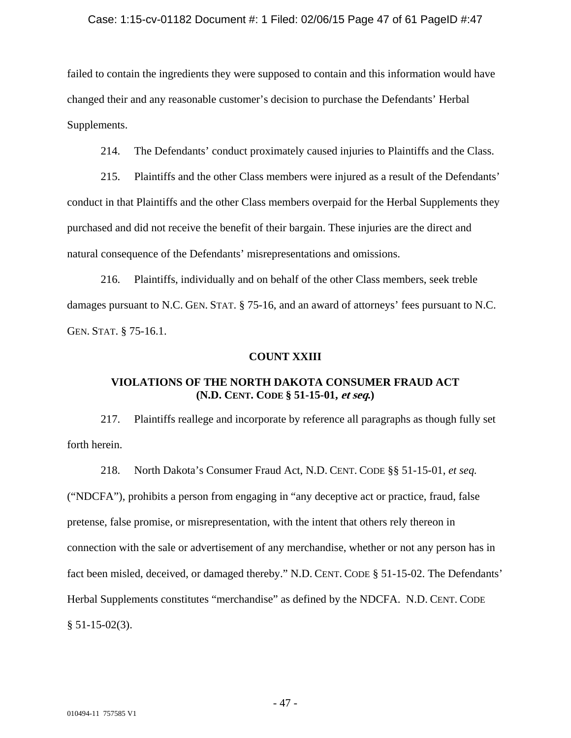### Case: 1:15-cv-01182 Document #: 1 Filed: 02/06/15 Page 47 of 61 PageID #:47

failed to contain the ingredients they were supposed to contain and this information would have changed their and any reasonable customer's decision to purchase the Defendants' Herbal Supplements.

214. The Defendants' conduct proximately caused injuries to Plaintiffs and the Class.

215. Plaintiffs and the other Class members were injured as a result of the Defendants' conduct in that Plaintiffs and the other Class members overpaid for the Herbal Supplements they purchased and did not receive the benefit of their bargain. These injuries are the direct and natural consequence of the Defendants' misrepresentations and omissions.

216. Plaintiffs, individually and on behalf of the other Class members, seek treble damages pursuant to N.C. GEN. STAT. § 75-16, and an award of attorneys' fees pursuant to N.C. GEN. STAT. § 75-16.1.

### **COUNT XXIII**

# **VIOLATIONS OF THE NORTH DAKOTA CONSUMER FRAUD ACT (N.D. CENT. CODE § 51-15-01, et seq.)**

217. Plaintiffs reallege and incorporate by reference all paragraphs as though fully set forth herein.

218. North Dakota's Consumer Fraud Act, N.D. CENT. CODE §§ 51-15-01, *et seq.* ("NDCFA"), prohibits a person from engaging in "any deceptive act or practice, fraud, false pretense, false promise, or misrepresentation, with the intent that others rely thereon in connection with the sale or advertisement of any merchandise, whether or not any person has in fact been misled, deceived, or damaged thereby." N.D. CENT. CODE § 51-15-02. The Defendants' Herbal Supplements constitutes "merchandise" as defined by the NDCFA. N.D. CENT. CODE  $§ 51-15-02(3).$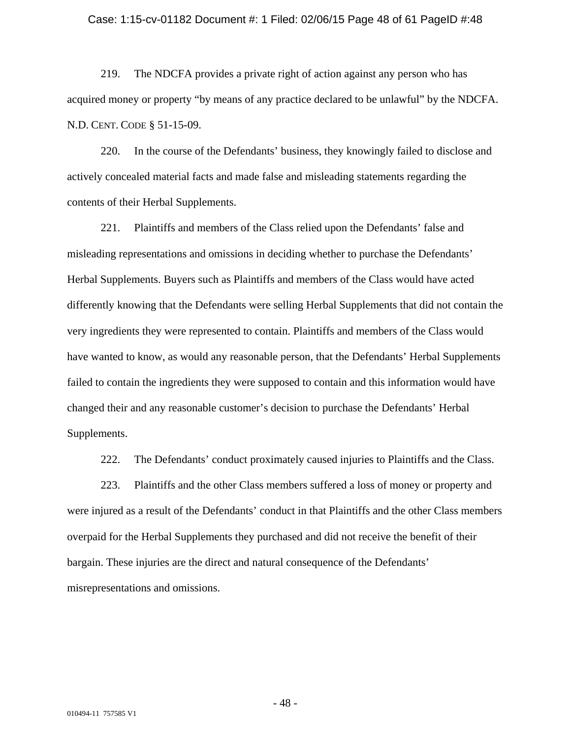#### Case: 1:15-cv-01182 Document #: 1 Filed: 02/06/15 Page 48 of 61 PageID #:48

219. The NDCFA provides a private right of action against any person who has acquired money or property "by means of any practice declared to be unlawful" by the NDCFA. N.D. CENT. CODE § 51-15-09.

220. In the course of the Defendants' business, they knowingly failed to disclose and actively concealed material facts and made false and misleading statements regarding the contents of their Herbal Supplements.

221. Plaintiffs and members of the Class relied upon the Defendants' false and misleading representations and omissions in deciding whether to purchase the Defendants' Herbal Supplements. Buyers such as Plaintiffs and members of the Class would have acted differently knowing that the Defendants were selling Herbal Supplements that did not contain the very ingredients they were represented to contain. Plaintiffs and members of the Class would have wanted to know, as would any reasonable person, that the Defendants' Herbal Supplements failed to contain the ingredients they were supposed to contain and this information would have changed their and any reasonable customer's decision to purchase the Defendants' Herbal Supplements.

222. The Defendants' conduct proximately caused injuries to Plaintiffs and the Class.

223. Plaintiffs and the other Class members suffered a loss of money or property and were injured as a result of the Defendants' conduct in that Plaintiffs and the other Class members overpaid for the Herbal Supplements they purchased and did not receive the benefit of their bargain. These injuries are the direct and natural consequence of the Defendants' misrepresentations and omissions.

- 48 -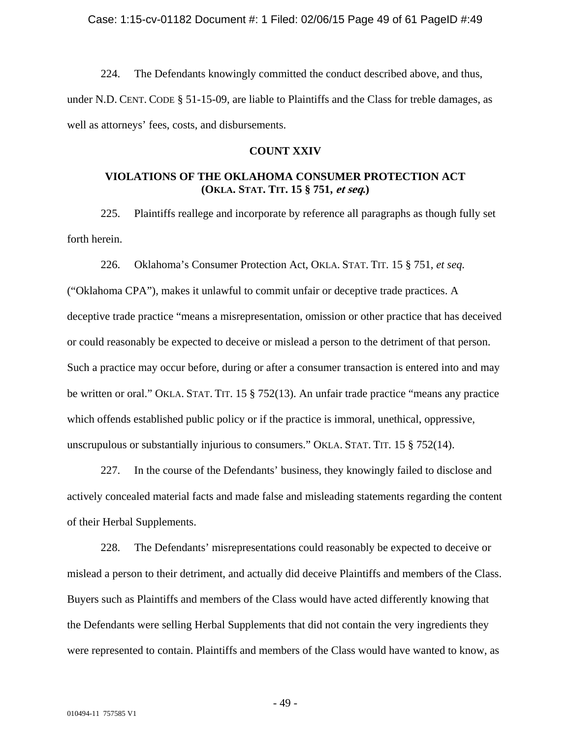224. The Defendants knowingly committed the conduct described above, and thus, under N.D. CENT. CODE § 51-15-09, are liable to Plaintiffs and the Class for treble damages, as well as attorneys' fees, costs, and disbursements.

## **COUNT XXIV**

# **VIOLATIONS OF THE OKLAHOMA CONSUMER PROTECTION ACT (OKLA. STAT. TIT. 15 § 751, et seq.)**

225. Plaintiffs reallege and incorporate by reference all paragraphs as though fully set forth herein.

226. Oklahoma's Consumer Protection Act, OKLA. STAT. TIT. 15 § 751, *et seq.*

("Oklahoma CPA"), makes it unlawful to commit unfair or deceptive trade practices. A deceptive trade practice "means a misrepresentation, omission or other practice that has deceived or could reasonably be expected to deceive or mislead a person to the detriment of that person. Such a practice may occur before, during or after a consumer transaction is entered into and may be written or oral." OKLA. STAT. TIT. 15 § 752(13). An unfair trade practice "means any practice which offends established public policy or if the practice is immoral, unethical, oppressive, unscrupulous or substantially injurious to consumers." OKLA. STAT. TIT. 15 § 752(14).

227. In the course of the Defendants' business, they knowingly failed to disclose and actively concealed material facts and made false and misleading statements regarding the content of their Herbal Supplements.

228. The Defendants' misrepresentations could reasonably be expected to deceive or mislead a person to their detriment, and actually did deceive Plaintiffs and members of the Class. Buyers such as Plaintiffs and members of the Class would have acted differently knowing that the Defendants were selling Herbal Supplements that did not contain the very ingredients they were represented to contain. Plaintiffs and members of the Class would have wanted to know, as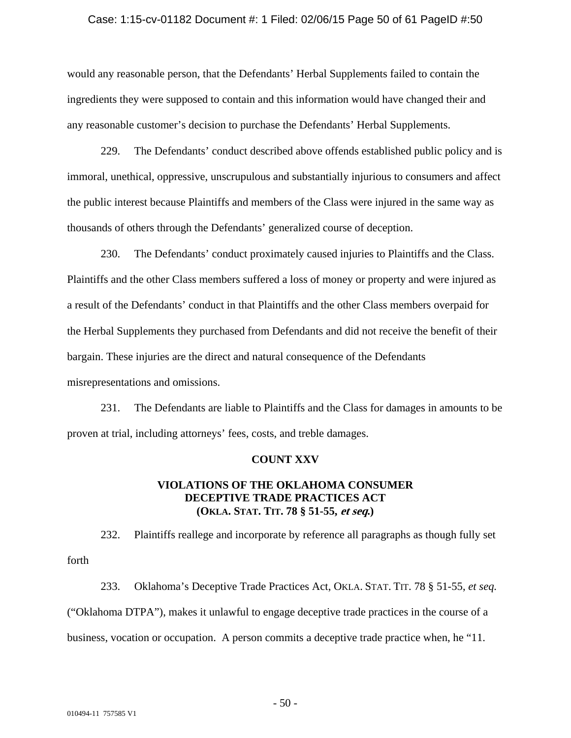### Case: 1:15-cv-01182 Document #: 1 Filed: 02/06/15 Page 50 of 61 PageID #:50

would any reasonable person, that the Defendants' Herbal Supplements failed to contain the ingredients they were supposed to contain and this information would have changed their and any reasonable customer's decision to purchase the Defendants' Herbal Supplements.

229. The Defendants' conduct described above offends established public policy and is immoral, unethical, oppressive, unscrupulous and substantially injurious to consumers and affect the public interest because Plaintiffs and members of the Class were injured in the same way as thousands of others through the Defendants' generalized course of deception.

230. The Defendants' conduct proximately caused injuries to Plaintiffs and the Class. Plaintiffs and the other Class members suffered a loss of money or property and were injured as a result of the Defendants' conduct in that Plaintiffs and the other Class members overpaid for the Herbal Supplements they purchased from Defendants and did not receive the benefit of their bargain. These injuries are the direct and natural consequence of the Defendants misrepresentations and omissions.

231. The Defendants are liable to Plaintiffs and the Class for damages in amounts to be proven at trial, including attorneys' fees, costs, and treble damages.

### **COUNT XXV**

# **VIOLATIONS OF THE OKLAHOMA CONSUMER DECEPTIVE TRADE PRACTICES ACT (OKLA. STAT. TIT. 78 § 51-55, et seq.)**

232. Plaintiffs reallege and incorporate by reference all paragraphs as though fully set forth

233. Oklahoma's Deceptive Trade Practices Act, OKLA. STAT. TIT. 78 § 51-55, *et seq.* ("Oklahoma DTPA"), makes it unlawful to engage deceptive trade practices in the course of a business, vocation or occupation. A person commits a deceptive trade practice when, he "11.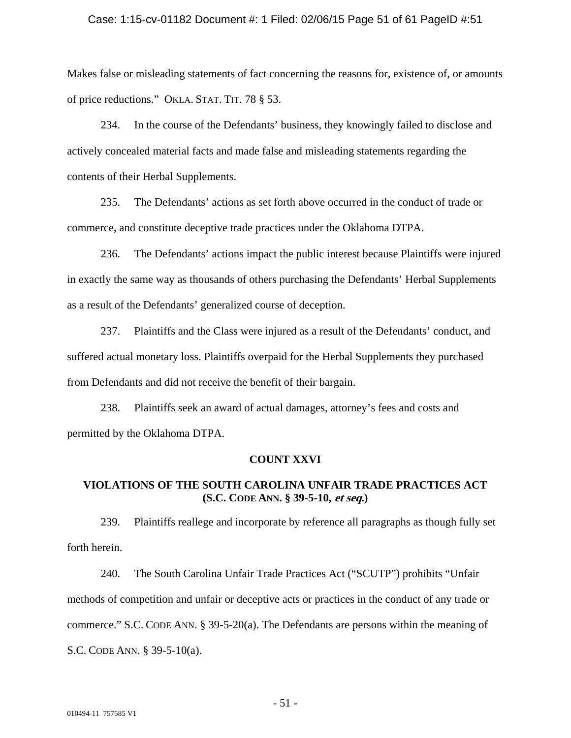#### Case: 1:15-cv-01182 Document #: 1 Filed: 02/06/15 Page 51 of 61 PageID #:51

Makes false or misleading statements of fact concerning the reasons for, existence of, or amounts of price reductions." OKLA. STAT. TIT. 78 § 53.

234. In the course of the Defendants' business, they knowingly failed to disclose and actively concealed material facts and made false and misleading statements regarding the contents of their Herbal Supplements.

235. The Defendants' actions as set forth above occurred in the conduct of trade or commerce, and constitute deceptive trade practices under the Oklahoma DTPA.

236. The Defendants' actions impact the public interest because Plaintiffs were injured in exactly the same way as thousands of others purchasing the Defendants' Herbal Supplements as a result of the Defendants' generalized course of deception.

237. Plaintiffs and the Class were injured as a result of the Defendants' conduct, and suffered actual monetary loss. Plaintiffs overpaid for the Herbal Supplements they purchased from Defendants and did not receive the benefit of their bargain.

238. Plaintiffs seek an award of actual damages, attorney's fees and costs and permitted by the Oklahoma DTPA.

### **COUNT XXVI**

# **VIOLATIONS OF THE SOUTH CAROLINA UNFAIR TRADE PRACTICES ACT (S.C. CODE ANN. § 39-5-10, et seq.)**

239. Plaintiffs reallege and incorporate by reference all paragraphs as though fully set forth herein.

240. The South Carolina Unfair Trade Practices Act ("SCUTP") prohibits "Unfair methods of competition and unfair or deceptive acts or practices in the conduct of any trade or commerce." S.C. CODE ANN. § 39-5-20(a). The Defendants are persons within the meaning of S.C. CODE ANN. § 39-5-10(a).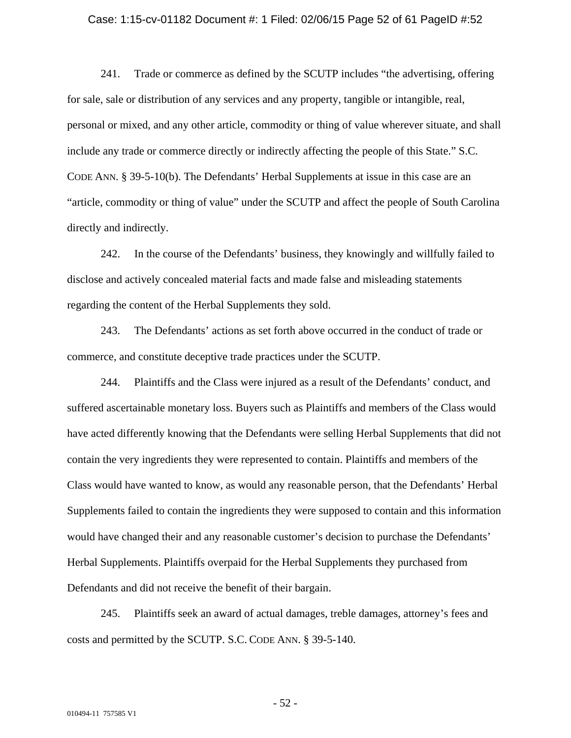#### Case: 1:15-cv-01182 Document #: 1 Filed: 02/06/15 Page 52 of 61 PageID #:52

241. Trade or commerce as defined by the SCUTP includes "the advertising, offering for sale, sale or distribution of any services and any property, tangible or intangible, real, personal or mixed, and any other article, commodity or thing of value wherever situate, and shall include any trade or commerce directly or indirectly affecting the people of this State." S.C. CODE ANN. § 39-5-10(b). The Defendants' Herbal Supplements at issue in this case are an "article, commodity or thing of value" under the SCUTP and affect the people of South Carolina directly and indirectly.

242. In the course of the Defendants' business, they knowingly and willfully failed to disclose and actively concealed material facts and made false and misleading statements regarding the content of the Herbal Supplements they sold.

243. The Defendants' actions as set forth above occurred in the conduct of trade or commerce, and constitute deceptive trade practices under the SCUTP.

244. Plaintiffs and the Class were injured as a result of the Defendants' conduct, and suffered ascertainable monetary loss. Buyers such as Plaintiffs and members of the Class would have acted differently knowing that the Defendants were selling Herbal Supplements that did not contain the very ingredients they were represented to contain. Plaintiffs and members of the Class would have wanted to know, as would any reasonable person, that the Defendants' Herbal Supplements failed to contain the ingredients they were supposed to contain and this information would have changed their and any reasonable customer's decision to purchase the Defendants' Herbal Supplements. Plaintiffs overpaid for the Herbal Supplements they purchased from Defendants and did not receive the benefit of their bargain.

245. Plaintiffs seek an award of actual damages, treble damages, attorney's fees and costs and permitted by the SCUTP. S.C. CODE ANN. § 39-5-140.

- 52 -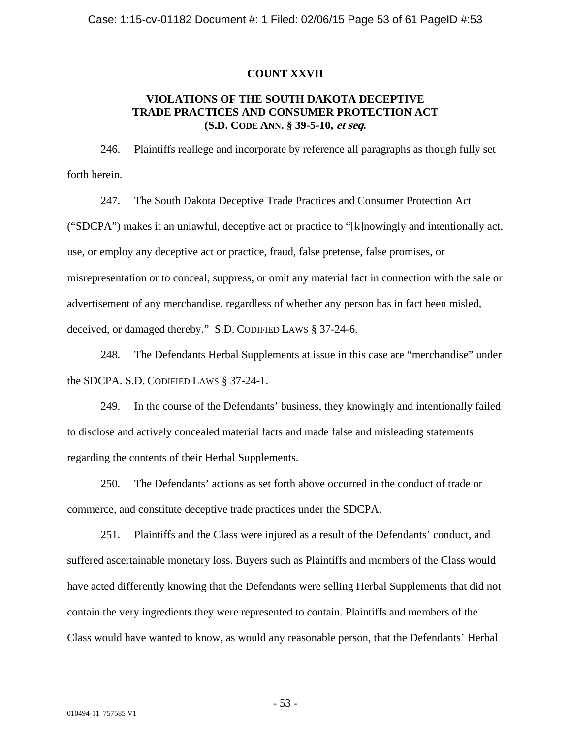### **COUNT XXVII**

# **VIOLATIONS OF THE SOUTH DAKOTA DECEPTIVE TRADE PRACTICES AND CONSUMER PROTECTION ACT (S.D. CODE ANN. § 39-5-10, et seq.**

246. Plaintiffs reallege and incorporate by reference all paragraphs as though fully set forth herein.

247. The South Dakota Deceptive Trade Practices and Consumer Protection Act ("SDCPA") makes it an unlawful, deceptive act or practice to "[k]nowingly and intentionally act, use, or employ any deceptive act or practice, fraud, false pretense, false promises, or misrepresentation or to conceal, suppress, or omit any material fact in connection with the sale or advertisement of any merchandise, regardless of whether any person has in fact been misled, deceived, or damaged thereby." S.D. CODIFIED LAWS § 37-24-6.

248. The Defendants Herbal Supplements at issue in this case are "merchandise" under the SDCPA. S.D. CODIFIED LAWS § 37-24-1.

249. In the course of the Defendants' business, they knowingly and intentionally failed to disclose and actively concealed material facts and made false and misleading statements regarding the contents of their Herbal Supplements.

250. The Defendants' actions as set forth above occurred in the conduct of trade or commerce, and constitute deceptive trade practices under the SDCPA.

251. Plaintiffs and the Class were injured as a result of the Defendants' conduct, and suffered ascertainable monetary loss. Buyers such as Plaintiffs and members of the Class would have acted differently knowing that the Defendants were selling Herbal Supplements that did not contain the very ingredients they were represented to contain. Plaintiffs and members of the Class would have wanted to know, as would any reasonable person, that the Defendants' Herbal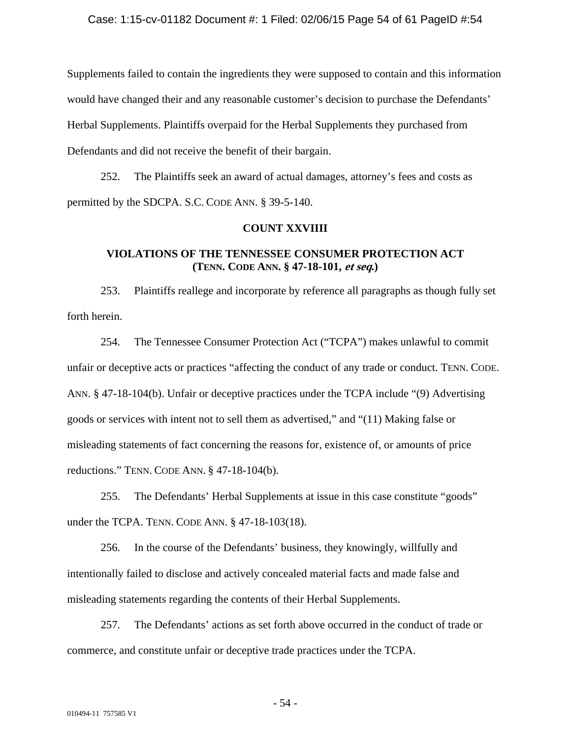Supplements failed to contain the ingredients they were supposed to contain and this information would have changed their and any reasonable customer's decision to purchase the Defendants' Herbal Supplements. Plaintiffs overpaid for the Herbal Supplements they purchased from Defendants and did not receive the benefit of their bargain.

252. The Plaintiffs seek an award of actual damages, attorney's fees and costs as permitted by the SDCPA. S.C. CODE ANN. § 39-5-140.

### **COUNT XXVIIII**

# **VIOLATIONS OF THE TENNESSEE CONSUMER PROTECTION ACT (TENN. CODE ANN. § 47-18-101, et seq.)**

253. Plaintiffs reallege and incorporate by reference all paragraphs as though fully set forth herein.

254. The Tennessee Consumer Protection Act ("TCPA") makes unlawful to commit unfair or deceptive acts or practices "affecting the conduct of any trade or conduct. TENN. CODE. ANN. § 47-18-104(b). Unfair or deceptive practices under the TCPA include "(9) Advertising goods or services with intent not to sell them as advertised," and "(11) Making false or misleading statements of fact concerning the reasons for, existence of, or amounts of price reductions." TENN. CODE ANN. § 47-18-104(b).

255. The Defendants' Herbal Supplements at issue in this case constitute "goods" under the TCPA. TENN. CODE ANN. § 47-18-103(18).

256. In the course of the Defendants' business, they knowingly, willfully and intentionally failed to disclose and actively concealed material facts and made false and misleading statements regarding the contents of their Herbal Supplements.

257. The Defendants' actions as set forth above occurred in the conduct of trade or commerce, and constitute unfair or deceptive trade practices under the TCPA.

- 54 -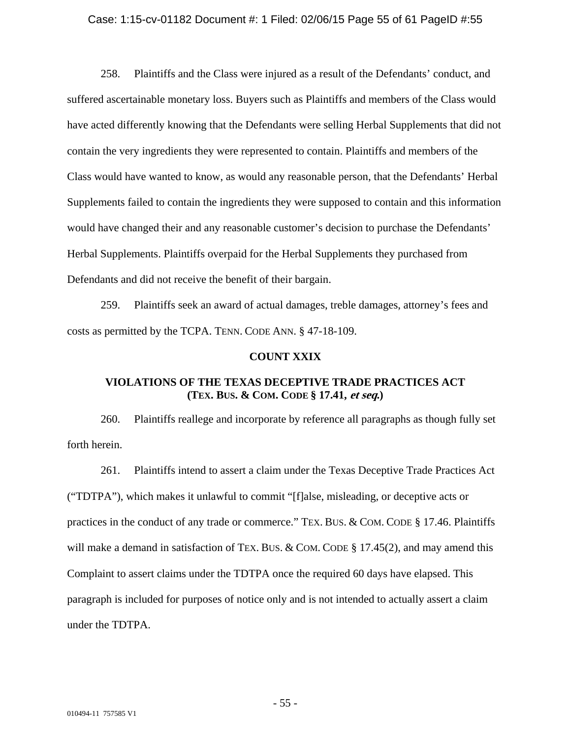#### Case: 1:15-cv-01182 Document #: 1 Filed: 02/06/15 Page 55 of 61 PageID #:55

258. Plaintiffs and the Class were injured as a result of the Defendants' conduct, and suffered ascertainable monetary loss. Buyers such as Plaintiffs and members of the Class would have acted differently knowing that the Defendants were selling Herbal Supplements that did not contain the very ingredients they were represented to contain. Plaintiffs and members of the Class would have wanted to know, as would any reasonable person, that the Defendants' Herbal Supplements failed to contain the ingredients they were supposed to contain and this information would have changed their and any reasonable customer's decision to purchase the Defendants' Herbal Supplements. Plaintiffs overpaid for the Herbal Supplements they purchased from Defendants and did not receive the benefit of their bargain.

259. Plaintiffs seek an award of actual damages, treble damages, attorney's fees and costs as permitted by the TCPA. TENN. CODE ANN. § 47-18-109.

### **COUNT XXIX**

# **VIOLATIONS OF THE TEXAS DECEPTIVE TRADE PRACTICES ACT (TEX. BUS. & COM. CODE § 17.41, et seq.)**

260. Plaintiffs reallege and incorporate by reference all paragraphs as though fully set forth herein.

261. Plaintiffs intend to assert a claim under the Texas Deceptive Trade Practices Act ("TDTPA"), which makes it unlawful to commit "[f]alse, misleading, or deceptive acts or practices in the conduct of any trade or commerce." TEX. BUS. & COM. CODE § 17.46. Plaintiffs will make a demand in satisfaction of TEX. BUS. & COM. CODE  $\S 17.45(2)$ , and may amend this Complaint to assert claims under the TDTPA once the required 60 days have elapsed. This paragraph is included for purposes of notice only and is not intended to actually assert a claim under the TDTPA.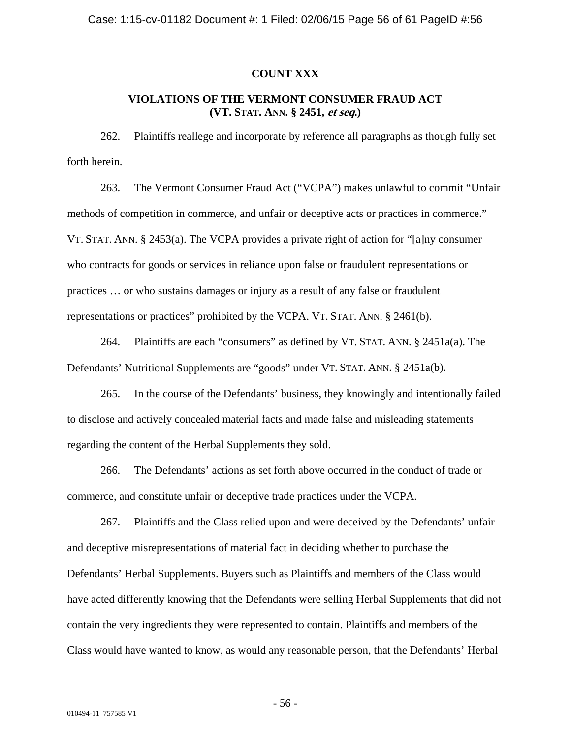### **COUNT XXX**

# **VIOLATIONS OF THE VERMONT CONSUMER FRAUD ACT (VT. STAT. ANN. § 2451, et seq.)**

262. Plaintiffs reallege and incorporate by reference all paragraphs as though fully set forth herein.

263. The Vermont Consumer Fraud Act ("VCPA") makes unlawful to commit "Unfair methods of competition in commerce, and unfair or deceptive acts or practices in commerce." VT. STAT. ANN. § 2453(a). The VCPA provides a private right of action for "[a]ny consumer who contracts for goods or services in reliance upon false or fraudulent representations or practices … or who sustains damages or injury as a result of any false or fraudulent representations or practices" prohibited by the VCPA. VT. STAT. ANN. § 2461(b).

264. Plaintiffs are each "consumers" as defined by VT. STAT. ANN. § 2451a(a). The Defendants' Nutritional Supplements are "goods" under VT. STAT. ANN. § 2451a(b).

265. In the course of the Defendants' business, they knowingly and intentionally failed to disclose and actively concealed material facts and made false and misleading statements regarding the content of the Herbal Supplements they sold.

266. The Defendants' actions as set forth above occurred in the conduct of trade or commerce, and constitute unfair or deceptive trade practices under the VCPA.

267. Plaintiffs and the Class relied upon and were deceived by the Defendants' unfair and deceptive misrepresentations of material fact in deciding whether to purchase the Defendants' Herbal Supplements. Buyers such as Plaintiffs and members of the Class would have acted differently knowing that the Defendants were selling Herbal Supplements that did not contain the very ingredients they were represented to contain. Plaintiffs and members of the Class would have wanted to know, as would any reasonable person, that the Defendants' Herbal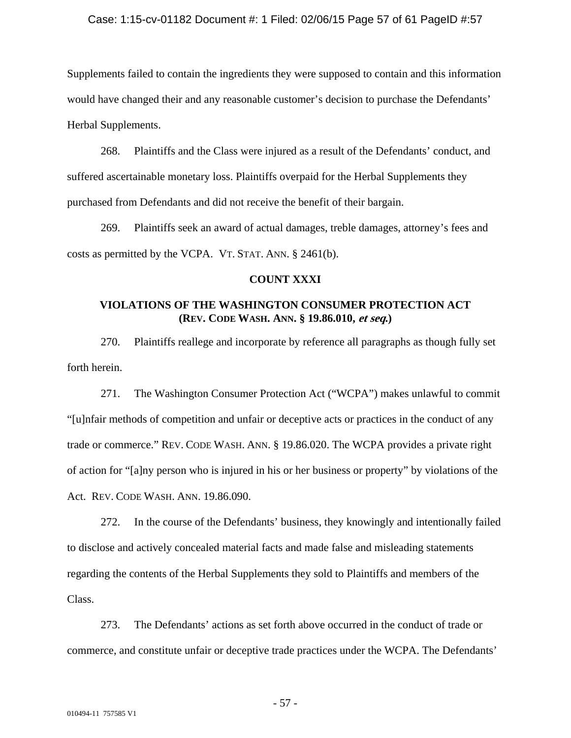### Case: 1:15-cv-01182 Document #: 1 Filed: 02/06/15 Page 57 of 61 PageID #:57

Supplements failed to contain the ingredients they were supposed to contain and this information would have changed their and any reasonable customer's decision to purchase the Defendants' Herbal Supplements.

268. Plaintiffs and the Class were injured as a result of the Defendants' conduct, and suffered ascertainable monetary loss. Plaintiffs overpaid for the Herbal Supplements they purchased from Defendants and did not receive the benefit of their bargain.

269. Plaintiffs seek an award of actual damages, treble damages, attorney's fees and costs as permitted by the VCPA. VT. STAT. ANN. § 2461(b).

### **COUNT XXXI**

# **VIOLATIONS OF THE WASHINGTON CONSUMER PROTECTION ACT (REV. CODE WASH. ANN. § 19.86.010, et seq.)**

270. Plaintiffs reallege and incorporate by reference all paragraphs as though fully set forth herein.

271. The Washington Consumer Protection Act ("WCPA") makes unlawful to commit "[u]nfair methods of competition and unfair or deceptive acts or practices in the conduct of any trade or commerce." REV. CODE WASH. ANN. § 19.86.020. The WCPA provides a private right of action for "[a]ny person who is injured in his or her business or property" by violations of the Act. REV. CODE WASH. ANN. 19.86.090.

272. In the course of the Defendants' business, they knowingly and intentionally failed to disclose and actively concealed material facts and made false and misleading statements regarding the contents of the Herbal Supplements they sold to Plaintiffs and members of the Class.

273. The Defendants' actions as set forth above occurred in the conduct of trade or commerce, and constitute unfair or deceptive trade practices under the WCPA. The Defendants'

- 57 -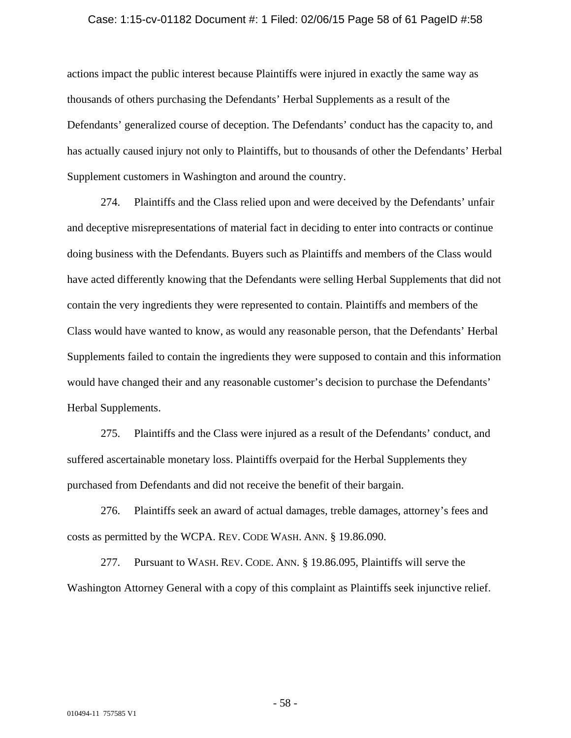#### Case: 1:15-cv-01182 Document #: 1 Filed: 02/06/15 Page 58 of 61 PageID #:58

actions impact the public interest because Plaintiffs were injured in exactly the same way as thousands of others purchasing the Defendants' Herbal Supplements as a result of the Defendants' generalized course of deception. The Defendants' conduct has the capacity to, and has actually caused injury not only to Plaintiffs, but to thousands of other the Defendants' Herbal Supplement customers in Washington and around the country.

274. Plaintiffs and the Class relied upon and were deceived by the Defendants' unfair and deceptive misrepresentations of material fact in deciding to enter into contracts or continue doing business with the Defendants. Buyers such as Plaintiffs and members of the Class would have acted differently knowing that the Defendants were selling Herbal Supplements that did not contain the very ingredients they were represented to contain. Plaintiffs and members of the Class would have wanted to know, as would any reasonable person, that the Defendants' Herbal Supplements failed to contain the ingredients they were supposed to contain and this information would have changed their and any reasonable customer's decision to purchase the Defendants' Herbal Supplements.

275. Plaintiffs and the Class were injured as a result of the Defendants' conduct, and suffered ascertainable monetary loss. Plaintiffs overpaid for the Herbal Supplements they purchased from Defendants and did not receive the benefit of their bargain.

276. Plaintiffs seek an award of actual damages, treble damages, attorney's fees and costs as permitted by the WCPA. REV. CODE WASH. ANN. § 19.86.090.

277. Pursuant to WASH. REV. CODE. ANN. § 19.86.095, Plaintiffs will serve the Washington Attorney General with a copy of this complaint as Plaintiffs seek injunctive relief.

- 58 -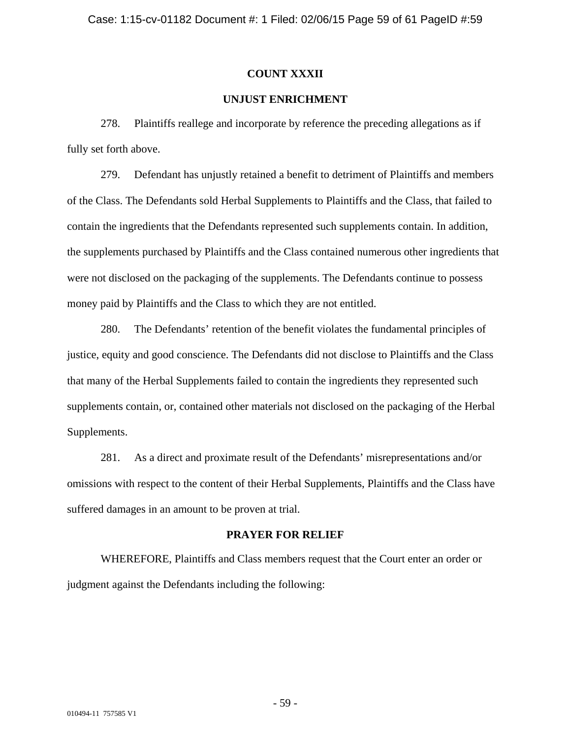### **COUNT XXXII**

# **UNJUST ENRICHMENT**

278. Plaintiffs reallege and incorporate by reference the preceding allegations as if fully set forth above.

279. Defendant has unjustly retained a benefit to detriment of Plaintiffs and members of the Class. The Defendants sold Herbal Supplements to Plaintiffs and the Class, that failed to contain the ingredients that the Defendants represented such supplements contain. In addition, the supplements purchased by Plaintiffs and the Class contained numerous other ingredients that were not disclosed on the packaging of the supplements. The Defendants continue to possess money paid by Plaintiffs and the Class to which they are not entitled.

280. The Defendants' retention of the benefit violates the fundamental principles of justice, equity and good conscience. The Defendants did not disclose to Plaintiffs and the Class that many of the Herbal Supplements failed to contain the ingredients they represented such supplements contain, or, contained other materials not disclosed on the packaging of the Herbal Supplements.

281. As a direct and proximate result of the Defendants' misrepresentations and/or omissions with respect to the content of their Herbal Supplements, Plaintiffs and the Class have suffered damages in an amount to be proven at trial.

# **PRAYER FOR RELIEF**

WHEREFORE, Plaintiffs and Class members request that the Court enter an order or judgment against the Defendants including the following: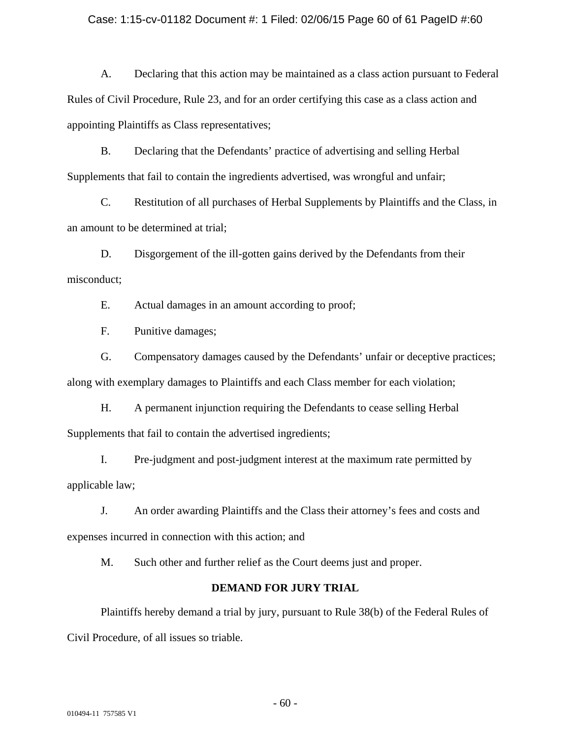### Case: 1:15-cv-01182 Document #: 1 Filed: 02/06/15 Page 60 of 61 PageID #:60

A. Declaring that this action may be maintained as a class action pursuant to Federal Rules of Civil Procedure, Rule 23, and for an order certifying this case as a class action and appointing Plaintiffs as Class representatives;

B. Declaring that the Defendants' practice of advertising and selling Herbal Supplements that fail to contain the ingredients advertised, was wrongful and unfair;

C. Restitution of all purchases of Herbal Supplements by Plaintiffs and the Class, in an amount to be determined at trial;

D. Disgorgement of the ill-gotten gains derived by the Defendants from their misconduct;

E. Actual damages in an amount according to proof;

F. Punitive damages;

G. Compensatory damages caused by the Defendants' unfair or deceptive practices; along with exemplary damages to Plaintiffs and each Class member for each violation;

H. A permanent injunction requiring the Defendants to cease selling Herbal Supplements that fail to contain the advertised ingredients;

I. Pre-judgment and post-judgment interest at the maximum rate permitted by applicable law;

J. An order awarding Plaintiffs and the Class their attorney's fees and costs and expenses incurred in connection with this action; and

M. Such other and further relief as the Court deems just and proper.

# **DEMAND FOR JURY TRIAL**

Plaintiffs hereby demand a trial by jury, pursuant to Rule 38(b) of the Federal Rules of Civil Procedure, of all issues so triable.

- 60 -